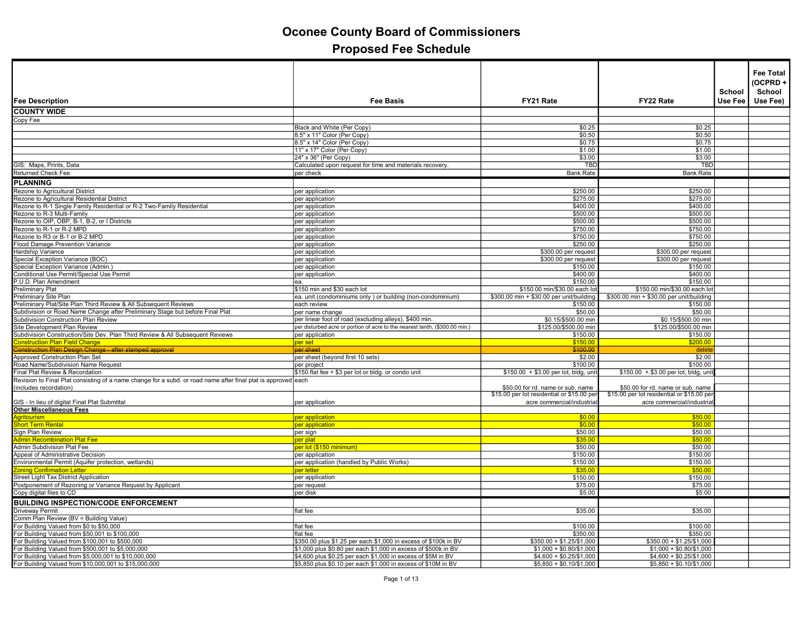| <b>Fee Description</b>                                                                                        | Fee Basis                                                                   | FY21 Rate                                  | FY22 Rate                                  | School<br>Use Fee | <b>Fee Total</b><br>(OCPRD+<br>School<br>Use Fee) |
|---------------------------------------------------------------------------------------------------------------|-----------------------------------------------------------------------------|--------------------------------------------|--------------------------------------------|-------------------|---------------------------------------------------|
| <b>COUNTY WIDE</b>                                                                                            |                                                                             |                                            |                                            |                   |                                                   |
| Copy Fee                                                                                                      |                                                                             |                                            |                                            |                   |                                                   |
|                                                                                                               | Black and White (Per Copy)                                                  | \$0.25                                     | \$0.25                                     |                   |                                                   |
|                                                                                                               | 8.5" x 11" Color (Per Copy)                                                 | \$0.50                                     | \$0.50                                     |                   |                                                   |
|                                                                                                               | 8.5" x 14" Color (Per Copy)                                                 | \$0.75                                     | \$0.75                                     |                   |                                                   |
|                                                                                                               | 11" x 17" Color (Per Copy)                                                  | \$1.00                                     | \$1.00                                     |                   |                                                   |
|                                                                                                               | 24" x 36" (Per Copy)                                                        | \$3.00                                     | \$3.00                                     |                   |                                                   |
| GIS: Maps, Prints, Data                                                                                       | Calculated upon request for time and materials recovery                     | <b>TBC</b>                                 | <b>TBD</b>                                 |                   |                                                   |
| <b>Returned Check Fee</b>                                                                                     | per check                                                                   | <b>Bank Rate</b>                           | <b>Bank Rate</b>                           |                   |                                                   |
| <b>PLANNING</b>                                                                                               |                                                                             |                                            |                                            |                   |                                                   |
| Rezone to Agricultural District                                                                               | per application                                                             | \$250.00                                   | \$250.00                                   |                   |                                                   |
| Rezone to Agricultural Residential District                                                                   |                                                                             | \$275.00                                   | \$275.00                                   |                   |                                                   |
| Rezone to R-1 Single Family Residential or R-2 Two-Family Residential                                         | per application<br>per application                                          | \$400.00                                   | \$400.00                                   |                   |                                                   |
| Rezone to R-3 Multi-Family                                                                                    |                                                                             | \$500.00                                   | \$500.00                                   |                   |                                                   |
| Rezone to OIP, OBP, B-1, B-2, or I Districts                                                                  | per application<br>per application                                          | \$500.00                                   | \$500.00                                   |                   |                                                   |
| Rezone to R-1 or R-2 MPD                                                                                      | per application                                                             | \$750.00                                   | \$750.00                                   |                   |                                                   |
| Rezone to R3 or B-1 or B-2 MPD                                                                                | per application                                                             | \$750.00                                   | \$750.00                                   |                   |                                                   |
| Flood Damage Prevention Variance                                                                              | per application                                                             | \$250.00                                   | \$250.00                                   |                   |                                                   |
| Hardship Variance                                                                                             | per application                                                             | \$300.00 per request                       | \$300.00 per request                       |                   |                                                   |
| Special Exception Variance (BOC)                                                                              | per application                                                             | \$300.00 per request                       | \$300.00 per request                       |                   |                                                   |
| Special Exception Variance (Admin.)                                                                           | per application                                                             | \$150.00                                   | \$150.00                                   |                   |                                                   |
| Conditional Use Permit/Special Use Permit                                                                     | per application                                                             | \$400.00                                   | \$400.00                                   |                   |                                                   |
| P.U.D. Plan Amendment                                                                                         | ea.                                                                         | \$150.00                                   | \$150.00                                   |                   |                                                   |
| Preliminary Plat                                                                                              | \$150 min and \$30 each lot                                                 | \$150.00 min/\$30.00 each lot              | \$150.00 min/\$30.00 each lot              |                   |                                                   |
| Preliminary Site Plan                                                                                         | ea. unit (condominiums only) or building (non-condominium)                  | \$300.00 min + \$30.00 per unit/building   | \$300.00 min + \$30.00 per unit/building   |                   |                                                   |
| Preliminary Plat/Site Plan Third Review & All Subsequent Reviews                                              | each review                                                                 | \$150.00                                   | \$150.00                                   |                   |                                                   |
| Subdivision or Road Name Change after Preliminary Stage but before Final Plat                                 | per name change                                                             | \$50.00                                    | \$50.00                                    |                   |                                                   |
| Subdivision Construction Plan Review                                                                          | per linear foot of road (excluding alleys), \$400 min.                      | \$0.15/\$500.00 min                        | \$0.15/\$500.00 min                        |                   |                                                   |
| Site Development Plan Review                                                                                  | per disturbed acre or portion of acre to the nearest tenth, (\$300.00 min.) | \$125.00/\$500.00 min                      | \$125.00/\$500.00 min                      |                   |                                                   |
| Subdivision Construction/Site Dev. Plan Third Review & All Subsequent Reviews                                 | per application                                                             | \$150.00                                   | \$150.00                                   |                   |                                                   |
| <b>Construction Plan Field Change</b>                                                                         | per set                                                                     | \$150.00                                   | \$200.00                                   |                   |                                                   |
| Construction Plan Design Change - after stamped approval                                                      | per sheet                                                                   | \$100.00                                   | delete                                     |                   |                                                   |
| Approved Construction Plan Set                                                                                | per sheet (beyond first 10 sets)                                            | \$2.00                                     | \$2.00                                     |                   |                                                   |
| Road Name/Subdivision Name Request                                                                            | per project                                                                 | \$100.00                                   | \$100.00                                   |                   |                                                   |
| Final Plat Review & Recordation                                                                               | \$150 flat fee + \$3 per lot or bldg. or condo unit                         | \$150.00 + \$3.00 per lot, bldg, unit      | $$150.00 + $3.00$ per lot, bldg, unit      |                   |                                                   |
| Revision to Final Plat consisting of a name change for a subd. or road name after final plat is approved each |                                                                             |                                            |                                            |                   |                                                   |
| (includes recordation)                                                                                        |                                                                             | \$50.00 for rd. name or sub. name          | \$50.00 for rd. name or sub. name          |                   |                                                   |
|                                                                                                               |                                                                             | \$15.00 per lot residential or \$15.00 per | \$15.00 per lot residential or \$15.00 per |                   |                                                   |
| GIS - In lieu of digital Final Plat Submittal                                                                 | per application                                                             | acre commercial/industria                  | acre commercial/industria                  |                   |                                                   |
| <b>Other Miscellaneous Fees</b>                                                                               |                                                                             |                                            |                                            |                   |                                                   |
| <b>Agritourism</b>                                                                                            | per application                                                             | \$0.00<br>\$0.00                           | \$50.00<br>\$50.00                         |                   |                                                   |
| <b>Short Term Rental</b>                                                                                      | ber application                                                             |                                            |                                            |                   |                                                   |
| Sign Plan Review<br><b>Admin Recombination Plat Fee</b>                                                       | per sign                                                                    | \$50.00<br>\$35.00                         | \$50.00<br>\$50,00                         |                   |                                                   |
| <b>Admin Subdivision Plat Fee</b>                                                                             | per plat<br>ber lot (\$150 minimum)                                         | \$50.00                                    | \$50.00                                    |                   |                                                   |
| Appeal of Administrative Decision                                                                             | per application                                                             | \$150.00                                   | \$150.00                                   |                   |                                                   |
| Environmental Permit (Aquifer protection, wetlands)                                                           | per application (handled by Public Works)                                   | \$150.00                                   | \$150.00                                   |                   |                                                   |
| <b>Zoning Confirmation Letter</b>                                                                             | per letter                                                                  | \$35.00                                    | \$50.00                                    |                   |                                                   |
| <b>Street Light Tax District Application</b>                                                                  | per application                                                             | \$150.00                                   | \$150.00                                   |                   |                                                   |
| Postponement of Rezoning or Variance Request by Applicant                                                     | per request                                                                 | \$75.00                                    | \$75.00                                    |                   |                                                   |
| Copy digital files to CD                                                                                      | per disk                                                                    | \$5.00                                     | \$5.00                                     |                   |                                                   |
|                                                                                                               |                                                                             |                                            |                                            |                   |                                                   |
| <b>BUILDING INSPECTION/CODE ENFORCEMENT</b>                                                                   |                                                                             |                                            |                                            |                   |                                                   |
| Driveway Permit                                                                                               | flat fee                                                                    | \$35.00                                    | \$35.00                                    |                   |                                                   |
| Comm Plan Review (BV = Building Value)                                                                        |                                                                             |                                            |                                            |                   |                                                   |
| For Building Valued from \$0 to \$50,000                                                                      | flat fee                                                                    | \$100.00                                   | \$100.00                                   |                   |                                                   |
| For Building Valued from \$50,001 to \$100,000<br>For Building Valued from \$100,001 to \$500,000             | flat fee<br>\$350.00 plus \$1.25 per each \$1,000 in excess of \$100k in BV | \$350.00<br>$$350.00 + $1.25/\$1,000$      | \$350.00<br>$$350.00 + $1.25/\$1,000$      |                   |                                                   |
| For Building Valued from \$500,001 to \$5,000,000                                                             | \$1,000 plus \$0.80 per each \$1,000 in excess of \$500k in BV              | $$1,000 + $0.80/\$1,000$                   | $$1,000 + $0.80/\$1,000$                   |                   |                                                   |
| For Building Valued from \$5,000,001 to \$10,000,000                                                          | \$4,600 plus \$0.25 per each \$1,000 in excess of \$5M in BV                | $$4,600 + $0.25/\$1,000$                   | $$4,600 + $0.25/\$1,000$                   |                   |                                                   |
| For Building Valued from \$10,000,001 to \$15,000,000                                                         | \$5,850 plus \$0.10 per each \$1,000 in excess of \$10M in BV               | $$5,850 + $0.10 \times 1000$               | $$5,850 + $0.10/\$1,000$                   |                   |                                                   |
|                                                                                                               |                                                                             |                                            |                                            |                   |                                                   |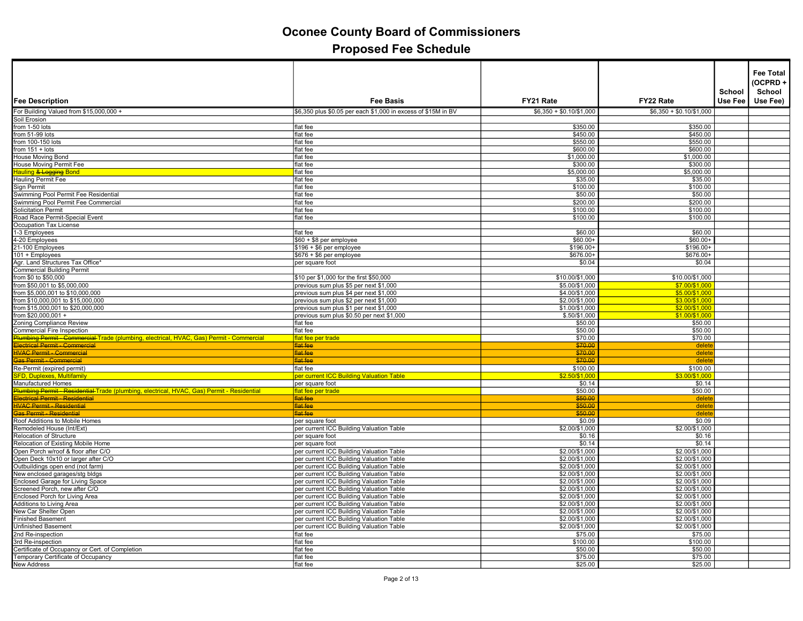| <b>Fee Description</b>                                                                     | <b>Fee Basis</b>                                                                     | FY21 Rate                        | FY22 Rate                        | School<br><b>Use Fee</b> | <b>Fee Total</b><br>(OCPRD+<br>School<br>Use Fee) |
|--------------------------------------------------------------------------------------------|--------------------------------------------------------------------------------------|----------------------------------|----------------------------------|--------------------------|---------------------------------------------------|
| For Building Valued from \$15,000,000 +                                                    | \$6,350 plus \$0.05 per each \$1,000 in excess of \$15M in BV                        | $$6,350 + $0.10/$1,000$          | $$6,350 + $0.10/\$1,000$         |                          |                                                   |
| Soil Erosion                                                                               |                                                                                      |                                  |                                  |                          |                                                   |
| from 1-50 lots                                                                             | flat fee                                                                             | \$350.00                         | \$350.00                         |                          |                                                   |
| from 51-99 lots                                                                            | flat fee                                                                             | \$450.00                         | \$450.00                         |                          |                                                   |
| from 100-150 lots                                                                          | flat fee                                                                             | \$550.00                         | \$550.00                         |                          |                                                   |
| from $151 + \text{ lots}$                                                                  | flat fee                                                                             | \$600.00                         | \$600.00                         |                          |                                                   |
| House Moving Bond                                                                          | flat fee                                                                             | \$1,000.00                       | \$1,000.00                       |                          |                                                   |
| House Moving Permit Fee                                                                    | flat fee                                                                             | \$300.00                         | \$300.00                         |                          |                                                   |
| <b>Hauling &amp; Logging Bond</b>                                                          | flat fee                                                                             | \$5,000.00                       | \$5,000.00                       |                          |                                                   |
| Hauling Permit Fee                                                                         | flat fee                                                                             | \$35.00                          | \$35.00                          |                          |                                                   |
| Sign Permit                                                                                | flat fee                                                                             | \$100.00                         | \$100.00                         |                          |                                                   |
| Swimming Pool Permit Fee Residential                                                       | flat fee                                                                             | \$50.00                          | \$50.00                          |                          |                                                   |
| Swimming Pool Permit Fee Commercial                                                        | flat fee                                                                             | \$200.00                         | \$200.00                         |                          |                                                   |
| <b>Solicitation Permit</b>                                                                 | flat fee                                                                             | \$100.00                         | \$100.00                         |                          |                                                   |
| Road Race Permit-Special Event                                                             | flat fee                                                                             | \$100.00                         | \$100.00                         |                          |                                                   |
| Occupation Tax License                                                                     |                                                                                      |                                  |                                  |                          |                                                   |
| 1-3 Employees                                                                              | flat fee                                                                             | \$60.00                          | \$60.00                          |                          |                                                   |
| 4-20 Employees                                                                             | \$60 + \$8 per employee                                                              | $$60.00+$                        | $$60.00+$                        |                          |                                                   |
| 21-100 Employees                                                                           | \$196 + \$6 per employee                                                             | $$196.00+$                       | $$196.00+$                       |                          |                                                   |
| 101 + Employees                                                                            | $$676 + $6$ per employee                                                             | \$676.00+                        | \$676.00+                        |                          |                                                   |
| Agr. Land Structures Tax Office*                                                           | per square foot                                                                      | \$0.04                           | \$0.04                           |                          |                                                   |
| <b>Commercial Building Permit</b>                                                          |                                                                                      |                                  |                                  |                          |                                                   |
| from \$0 to \$50,000                                                                       | \$10 per \$1,000 for the first \$50,000                                              | \$10.00/\$1,000                  | \$10.00/\$1,000                  |                          |                                                   |
| from \$50,001 to \$5,000,000                                                               | previous sum plus \$5 per next \$1,000                                               | \$5.00/\$1,000                   | \$7.00/\$1,000                   |                          |                                                   |
| from \$5,000,001 to \$10,000,000                                                           | previous sum plus \$4 per next \$1,000                                               | \$4.00/\$1,000                   | \$5.00/\$1,000                   |                          |                                                   |
| from \$10,000,001 to \$15,000,000                                                          | previous sum plus \$2 per next \$1,000                                               | \$2.00/\$1,000                   | \$3.00/\$1.000                   |                          |                                                   |
| from \$15,000,001 to \$20,000,000                                                          | previous sum plus \$1 per next \$1,000<br>previous sum plus \$0.50 per next \$1,000  | \$1.00/\$1,000                   | \$2.00/\$1,000                   |                          |                                                   |
| from \$20,000,001 +<br>Zoning Compliance Review                                            | flat fee                                                                             | \$.50/\$1,000<br>\$50.00         | \$1.00/\$1,000<br>\$50.00        |                          |                                                   |
| Commercial Fire Inspection                                                                 | flat fee                                                                             | \$50.00                          | \$50.00                          |                          |                                                   |
| Plumbing Permit - Commercial Trade (plumbing, electrical, HVAC, Gas) Permit - Commercial   | flat fee per trade                                                                   | \$70.00                          | \$70.00                          |                          |                                                   |
| <b>Iectrical Permit - Commercial</b>                                                       | flat fee                                                                             | \$70.00                          | delete                           |                          |                                                   |
| <b>HVAC Permit - Commercial</b>                                                            | flat fee                                                                             | \$70.00                          | delete                           |                          |                                                   |
| <b>Sas Permit - Commercial</b>                                                             | flat fee                                                                             | \$70.00                          | delete                           |                          |                                                   |
| Re-Permit (expired permit)                                                                 | flat fee                                                                             | \$100.00                         | \$100.00                         |                          |                                                   |
| <b>FD, Duplexes, Multifamily</b>                                                           | per current ICC Building Valuation Table                                             | \$2.50/\$1,00                    | \$3.00/\$1,000                   |                          |                                                   |
| Manufactured Homes                                                                         | per square foot                                                                      | \$0.14                           | \$0.14                           |                          |                                                   |
| Plumbing Permit - Residential Trade (plumbing, electrical, HVAC, Gas) Permit - Residential | flat fee per trade                                                                   | \$50.00                          | \$50.00                          |                          |                                                   |
| Hectrical Permit - Residential                                                             | flat fee                                                                             | \$50.00                          | delet                            |                          |                                                   |
| <b>HVAC Permit - Residential</b>                                                           | flat fee                                                                             | \$50.00                          | delete                           |                          |                                                   |
| <u> as Permit - Residential</u>                                                            | flat fee                                                                             | \$50.00                          | delete                           |                          |                                                   |
| Roof Additions to Mobile Homes                                                             | per square foot                                                                      | \$0.09                           | \$0.09                           |                          |                                                   |
| Remodeled House (Int/Ext)                                                                  | per current ICC Building Valuation Table                                             | \$2.00/\$1,000                   | \$2.00/\$1,000                   |                          |                                                   |
| Relocation of Structure                                                                    | per square foot                                                                      | \$0.16                           | \$0.16                           |                          |                                                   |
| Relocation of Existing Mobile Home                                                         | per square foot                                                                      | \$0.14                           | \$0.14                           |                          |                                                   |
| Open Porch w/roof & floor after C/O<br>Open Deck 10x10 or larger after C/O                 | per current ICC Building Valuation Table                                             | \$2.00/\$1,000                   | \$2.00/\$1,000                   |                          |                                                   |
|                                                                                            | per current ICC Building Valuation Table                                             | \$2.00/\$1,000                   | \$2.00/\$1,000                   |                          |                                                   |
| Outbuildings open end (not farm)                                                           | per current ICC Building Valuation Table                                             | \$2.00/\$1,000                   | \$2.00/\$1,000                   |                          |                                                   |
| New enclosed garages/stg bldgs                                                             | per current ICC Building Valuation Table                                             | \$2.00/\$1,000                   | \$2.00/\$1,000                   |                          |                                                   |
| <b>Enclosed Garage for Living Space</b>                                                    | per current ICC Building Valuation Table                                             | \$2.00/\$1,000                   | \$2.00/\$1,000                   |                          |                                                   |
| Screened Porch, new after C/O                                                              | per current ICC Building Valuation Table                                             | \$2.00/\$1,000                   | \$2.00/\$1,000                   |                          |                                                   |
| Enclosed Porch for Living Area                                                             | per current ICC Building Valuation Table                                             | \$2.00/\$1,000                   | \$2.00/\$1,000                   |                          |                                                   |
| Additions to Living Area<br>New Car Shelter Open                                           | per current ICC Building Valuation Table<br>per current ICC Building Valuation Table | \$2.00/\$1,000<br>\$2.00/\$1,000 | \$2.00/\$1,000<br>\$2.00/\$1,000 |                          |                                                   |
| <b>Finished Basement</b>                                                                   | per current ICC Building Valuation Table                                             | \$2.00/\$1,000                   | \$2.00/\$1,000                   |                          |                                                   |
| <b>Unfinished Basement</b>                                                                 | per current ICC Building Valuation Table                                             | \$2.00/\$1,000                   | \$2.00/\$1,000                   |                          |                                                   |
| 2nd Re-inspection                                                                          | flat fee                                                                             | \$75.00                          | \$75.00                          |                          |                                                   |
| 3rd Re-inspection                                                                          | flat fee                                                                             | \$100.00                         | \$100.00                         |                          |                                                   |
| Certificate of Occupancy or Cert. of Completion                                            | flat fee                                                                             | \$50.00                          | \$50.00                          |                          |                                                   |
| Temporary Certificate of Occupancy                                                         | flat fee                                                                             | \$75.00                          | \$75.00                          |                          |                                                   |
| <b>New Address</b>                                                                         | flat fee                                                                             | \$25.00                          | \$25.00                          |                          |                                                   |
|                                                                                            |                                                                                      |                                  |                                  |                          |                                                   |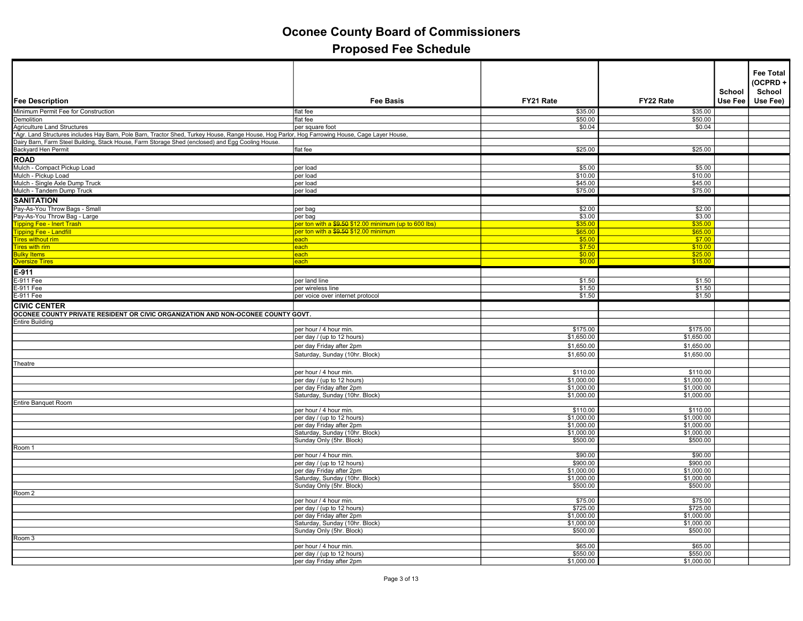| Fee Description                                                                                                                                                                | <b>Fee Basis</b>                                           | FY21 Rate                | FY22 Rate                | School<br>Use Fee | <b>Fee Total</b><br>(OCPRD+<br>School<br>Use Fee) |
|--------------------------------------------------------------------------------------------------------------------------------------------------------------------------------|------------------------------------------------------------|--------------------------|--------------------------|-------------------|---------------------------------------------------|
| Minimum Permit Fee for Construction                                                                                                                                            | flat fee                                                   | \$35.00                  | \$35.00                  |                   |                                                   |
| Demolition                                                                                                                                                                     | flat fee                                                   | \$50.00                  | \$50.00                  |                   |                                                   |
|                                                                                                                                                                                |                                                            | \$0.04                   | \$0.04                   |                   |                                                   |
| Agriculture Land Structures<br>*Agr. Land Structures includes Hay Barn, Pole Barn, Tractor Shed, Turkey House, Range House, Hog Parlor, Hog Farrowing House, Cage Layer House, |                                                            |                          |                          |                   |                                                   |
| Dairy Barn, Farm Steel Building, Stack House, Farm Storage Shed (enclosed) and Egg Cooling House.                                                                              |                                                            |                          |                          |                   |                                                   |
| Backyard Hen Permit                                                                                                                                                            | flat fee                                                   | \$25.00                  | \$25.00                  |                   |                                                   |
| ROAD                                                                                                                                                                           |                                                            |                          |                          |                   |                                                   |
| Mulch - Compact Pickup Load                                                                                                                                                    | per load                                                   | \$5.00                   | \$5.00                   |                   |                                                   |
| Mulch - Pickup Load                                                                                                                                                            | per load                                                   | \$10.00                  | \$10.00                  |                   |                                                   |
| Mulch - Single Axle Dump Truck                                                                                                                                                 | per load                                                   | \$45.00                  | \$45.00                  |                   |                                                   |
| Mulch - Tandem Dump Truck                                                                                                                                                      | per load                                                   | \$75.00                  | \$75.00                  |                   |                                                   |
| <b>SANITATION</b>                                                                                                                                                              |                                                            |                          |                          |                   |                                                   |
| Pay-As-You Throw Bags - Small                                                                                                                                                  | per bag                                                    | \$2.00                   | \$2.00                   |                   |                                                   |
| Pay-As-You Throw Bag - Large                                                                                                                                                   | per bag                                                    | \$3.00                   | \$3.00                   |                   |                                                   |
| ipping Fee - Inert Trash                                                                                                                                                       | per ton with a \$9.50 \$12.00 minimum (up to 600 lbs)      | \$35.00                  | \$35.00                  |                   |                                                   |
| ipping Fee - Landfill                                                                                                                                                          | per ton with a \$9.50 \$12.00 minimum                      | \$65.00                  | \$65.00                  |                   |                                                   |
| <b>ires without rim</b>                                                                                                                                                        | each                                                       | \$5.00                   | \$7.00                   |                   |                                                   |
| <b>Tires with rim</b>                                                                                                                                                          | each                                                       | \$7.50                   | \$10.00                  |                   |                                                   |
| <b>Bulky Items</b>                                                                                                                                                             | each                                                       | \$0.00                   | \$25.00                  |                   |                                                   |
| <b>Oversize Tires</b>                                                                                                                                                          | each                                                       | \$0.00                   | \$15.00                  |                   |                                                   |
| $E-911$                                                                                                                                                                        |                                                            |                          |                          |                   |                                                   |
| E-911 Fee                                                                                                                                                                      | per land line                                              | \$1.50                   | \$1.50                   |                   |                                                   |
| E-911 Fee                                                                                                                                                                      | per wireless line                                          | \$1.50                   | \$1.50                   |                   |                                                   |
| E-911 Fee                                                                                                                                                                      | per voice over internet protocol                           | \$1.50                   | \$1.50                   |                   |                                                   |
| <b>CIVIC CENTER</b>                                                                                                                                                            |                                                            |                          |                          |                   |                                                   |
| OCONEE COUNTY PRIVATE RESIDENT OR CIVIC ORGANIZATION AND NON-OCONEE COUNTY GOVT.                                                                                               |                                                            |                          |                          |                   |                                                   |
| <b>Entire Building</b>                                                                                                                                                         |                                                            |                          |                          |                   |                                                   |
|                                                                                                                                                                                | per hour / 4 hour min.                                     | \$175.00                 | \$175.00                 |                   |                                                   |
|                                                                                                                                                                                | per day / (up to 12 hours)                                 | \$1,650.00               | \$1,650.00               |                   |                                                   |
|                                                                                                                                                                                | per day Friday after 2pm                                   | \$1,650.00               | \$1,650.00               |                   |                                                   |
|                                                                                                                                                                                | Saturday, Sunday (10hr. Block)                             | \$1,650.00               | \$1,650.00               |                   |                                                   |
| Theatre                                                                                                                                                                        |                                                            |                          |                          |                   |                                                   |
|                                                                                                                                                                                | per hour / 4 hour min.                                     | \$110.00                 | \$110.00                 |                   |                                                   |
|                                                                                                                                                                                | per day / (up to 12 hours)                                 | \$1,000.00               | \$1,000.00               |                   |                                                   |
|                                                                                                                                                                                | per day Friday after 2pm                                   | \$1,000.00               | \$1,000.00               |                   |                                                   |
|                                                                                                                                                                                | Saturday, Sunday (10hr. Block)                             | \$1,000.00               | \$1,000.00               |                   |                                                   |
| Entire Banquet Room                                                                                                                                                            |                                                            |                          |                          |                   |                                                   |
|                                                                                                                                                                                | per hour / 4 hour min.                                     | \$110.00                 | \$110.00                 |                   |                                                   |
|                                                                                                                                                                                | per day / (up to 12 hours)                                 | \$1,000.00               | \$1,000.00               |                   |                                                   |
|                                                                                                                                                                                | per day Friday after 2pm<br>Saturday, Sunday (10hr. Block) | \$1,000.00<br>\$1,000.00 | \$1,000.00<br>\$1,000.00 |                   |                                                   |
|                                                                                                                                                                                | Sunday Only (5hr. Block)                                   | \$500.00                 | \$500.00                 |                   |                                                   |
| Room 1                                                                                                                                                                         |                                                            |                          |                          |                   |                                                   |
|                                                                                                                                                                                | per hour / 4 hour min.                                     | \$90.00                  | \$90.00                  |                   |                                                   |
|                                                                                                                                                                                | per day / (up to 12 hours)                                 | \$900.00                 | \$900.00                 |                   |                                                   |
|                                                                                                                                                                                | per day Friday after 2pm                                   | \$1,000.00               | \$1,000.00               |                   |                                                   |
|                                                                                                                                                                                | Saturday, Sunday (10hr. Block)                             | \$1,000.00               | \$1,000.00               |                   |                                                   |
|                                                                                                                                                                                | Sunday Only (5hr. Block)                                   | \$500.00                 | \$500.00                 |                   |                                                   |
| Room 2                                                                                                                                                                         |                                                            |                          |                          |                   |                                                   |
|                                                                                                                                                                                | per hour / 4 hour min.                                     | \$75.00                  | \$75.00                  |                   |                                                   |
|                                                                                                                                                                                | per day / (up to 12 hours)                                 | \$725.00                 | \$725.00                 |                   |                                                   |
|                                                                                                                                                                                | per day Friday after 2pm                                   | \$1,000.00               | \$1,000.00               |                   |                                                   |
|                                                                                                                                                                                | Saturday, Sunday (10hr. Block)                             | \$1,000.00               | \$1,000.00<br>\$500.00   |                   |                                                   |
| Room 3                                                                                                                                                                         | Sunday Only (5hr. Block)                                   | \$500.00                 |                          |                   |                                                   |
|                                                                                                                                                                                | per hour / 4 hour min.                                     | \$65.00                  | \$65.00                  |                   |                                                   |
|                                                                                                                                                                                | per day / (up to 12 hours)                                 | \$550.00                 | \$550.00                 |                   |                                                   |
|                                                                                                                                                                                | per day Friday after 2pm                                   | \$1,000.00               | \$1,000.00               |                   |                                                   |
|                                                                                                                                                                                |                                                            |                          |                          |                   |                                                   |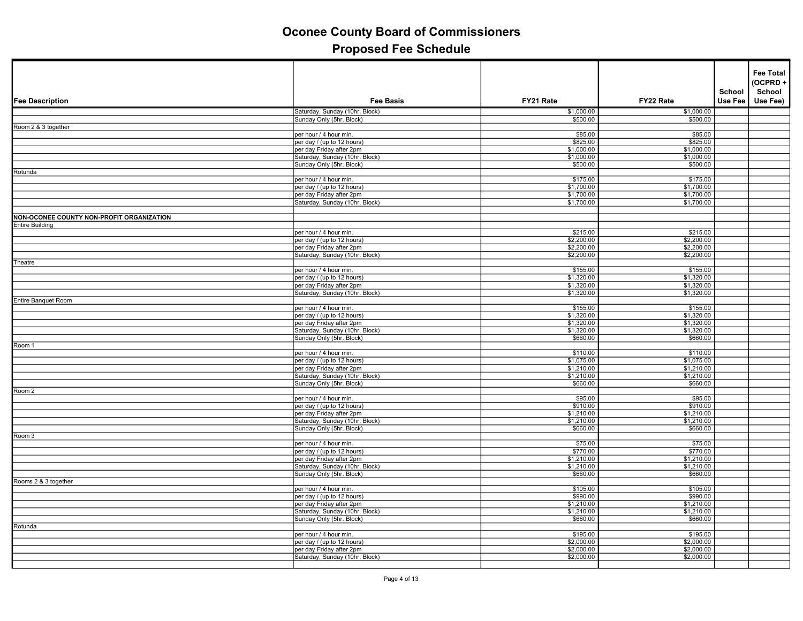|                                           |                                                            |                          |                          | School  | <b>Fee Total</b><br>(OCPRD+<br>School |
|-------------------------------------------|------------------------------------------------------------|--------------------------|--------------------------|---------|---------------------------------------|
| <b>Fee Description</b>                    | <b>Fee Basis</b>                                           | FY21 Rate                | FY22 Rate                | Use Fee | Use Fee)                              |
|                                           | Saturday, Sunday (10hr. Block)                             | \$1,000.00               | \$1,000.00               |         |                                       |
| Room 2 & 3 together                       | Sunday Only (5hr. Block)                                   | \$500.00                 | \$500.00                 |         |                                       |
|                                           | per hour / 4 hour min.                                     | \$85.00                  | \$85.00                  |         |                                       |
|                                           | per day / (up to 12 hours)                                 | \$825.00                 | \$825.00                 |         |                                       |
|                                           | per day Friday after 2pm                                   | \$1,000.00               | \$1,000.00               |         |                                       |
|                                           | Saturday, Sunday (10hr. Block)                             | \$1,000.00               | \$1,000.00               |         |                                       |
| Rotunda                                   | Sunday Only (5hr. Block)                                   | \$500.00                 | \$500.00                 |         |                                       |
|                                           | per hour / 4 hour min.                                     | \$175.00                 | \$175.00                 |         |                                       |
|                                           | per day / (up to 12 hours)                                 | \$1,700.00               | \$1,700.00               |         |                                       |
|                                           | per day Friday after 2pm                                   | \$1,700.00               | \$1,700.00               |         |                                       |
|                                           | Saturday, Sunday (10hr. Block)                             | \$1,700.00               | \$1,700.00               |         |                                       |
| NON-OCONEE COUNTY NON-PROFIT ORGANIZATION |                                                            |                          |                          |         |                                       |
| <b>Entire Building</b>                    |                                                            |                          |                          |         |                                       |
|                                           | per hour / 4 hour min.                                     | \$215.00                 | \$215.00                 |         |                                       |
|                                           | per day / (up to 12 hours)                                 | \$2,200.00               | \$2,200.00               |         |                                       |
|                                           | per day Friday after 2pm                                   | \$2,200.00               | \$2,200.00               |         |                                       |
|                                           | Saturday, Sunday (10hr. Block)                             | \$2,200.00               | \$2,200.00               |         |                                       |
| Theatre                                   | per hour / 4 hour min.                                     | \$155.00                 | \$155.00                 |         |                                       |
|                                           | per day / (up to 12 hours)                                 | \$1,320.00               | \$1,320.00               |         |                                       |
|                                           | per day Friday after 2pm                                   | \$1,320.00               | \$1,320.00               |         |                                       |
|                                           | Saturday, Sunday (10hr. Block)                             | \$1,320.00               | \$1,320.00               |         |                                       |
| Entire Banquet Room                       |                                                            |                          |                          |         |                                       |
|                                           | per hour / 4 hour min.                                     | \$155.00                 | \$155.00                 |         |                                       |
|                                           | per day / (up to 12 hours)                                 | \$1,320.00               | \$1,320.00               |         |                                       |
|                                           | per day Friday after 2pm<br>Saturday, Sunday (10hr. Block) | \$1,320.00<br>\$1,320.00 | \$1,320.00<br>\$1,320.00 |         |                                       |
|                                           | Sunday Only (5hr. Block)                                   | \$660.00                 | \$660.00                 |         |                                       |
| Room 1                                    |                                                            |                          |                          |         |                                       |
|                                           | per hour / 4 hour min.                                     | \$110.00                 | \$110.00                 |         |                                       |
|                                           | per day / (up to 12 hours)                                 | \$1,075.00               | \$1,075.00               |         |                                       |
|                                           | per day Friday after 2pm                                   | \$1,210.00               | \$1,210.00               |         |                                       |
|                                           | Saturday, Sunday (10hr. Block)                             | \$1,210.00<br>\$660.00   | \$1,210.00<br>\$660.00   |         |                                       |
| Room 2                                    | Sunday Only (5hr. Block)                                   |                          |                          |         |                                       |
|                                           | per hour / 4 hour min.                                     | \$95.00                  | \$95.00                  |         |                                       |
|                                           | per day / (up to 12 hours)                                 | \$910.00                 | \$910.00                 |         |                                       |
|                                           | per day Friday after 2pm                                   | \$1,210.00               | \$1,210.00               |         |                                       |
|                                           | Saturday, Sunday (10hr. Block)                             | \$1,210.00               | \$1,210.00               |         |                                       |
|                                           | Sunday Only (5hr. Block)                                   | \$660.00                 | \$660.00                 |         |                                       |
| Room 3                                    | per hour / 4 hour min.                                     | \$75.00                  | \$75.00                  |         |                                       |
|                                           | per day / (up to 12 hours)                                 | \$770.00                 | \$770.00                 |         |                                       |
|                                           | per day Friday after 2pm                                   | \$1,210.00               | \$1,210.00               |         |                                       |
|                                           | Saturday, Sunday (10hr. Block)                             | \$1,210.00               | \$1,210.00               |         |                                       |
|                                           | Sunday Only (5hr. Block)                                   | \$660.00                 | \$660.00                 |         |                                       |
| Rooms 2 & 3 together                      |                                                            |                          |                          |         |                                       |
|                                           | per hour / 4 hour min.<br>per day / (up to 12 hours)       | \$105.00<br>\$990.00     | \$105.00<br>\$990.00     |         |                                       |
|                                           | per day Friday after 2pm                                   | \$1,210.00               | \$1,210.00               |         |                                       |
|                                           | Saturday, Sunday (10hr. Block)                             | \$1,210.00               | \$1,210.00               |         |                                       |
|                                           | Sunday Only (5hr. Block)                                   | \$660.00                 | \$660.00                 |         |                                       |
| Rotunda                                   |                                                            |                          |                          |         |                                       |
|                                           | per hour / 4 hour min.                                     | \$195.00                 | \$195.00                 |         |                                       |
|                                           | per day / (up to 12 hours)                                 | \$2,000.00               | \$2,000.00               |         |                                       |
|                                           | per day Friday after 2pm<br>Saturday, Sunday (10hr. Block) | \$2,000.00<br>\$2,000.00 | \$2,000.00<br>\$2,000.00 |         |                                       |
|                                           |                                                            |                          |                          |         |                                       |
|                                           |                                                            |                          |                          |         |                                       |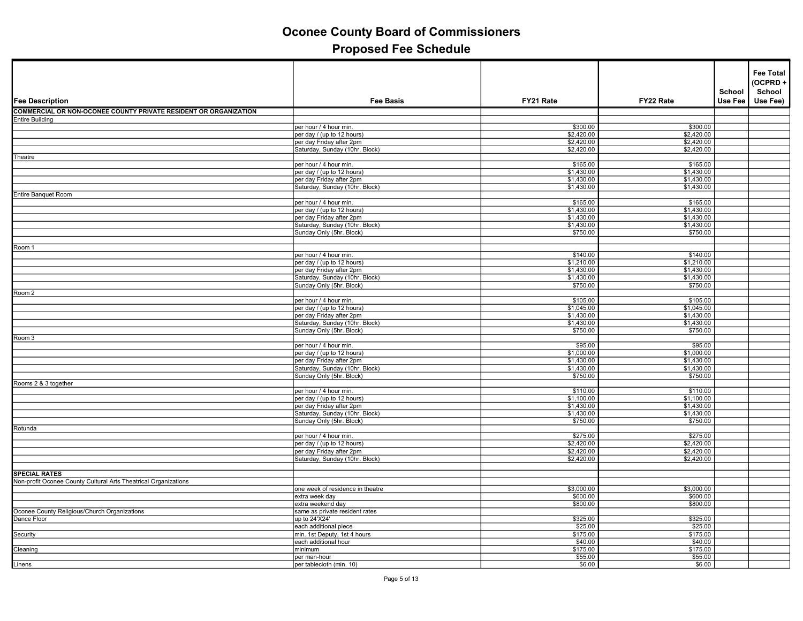| <b>Fee Description</b>                                           | <b>Fee Basis</b>                                           | FY21 Rate                | FY22 Rate                | School<br>Use Fee | <b>Fee Total</b><br>(OCPRD+<br>School<br>Use Fee) |
|------------------------------------------------------------------|------------------------------------------------------------|--------------------------|--------------------------|-------------------|---------------------------------------------------|
| COMMERCIAL OR NON-OCONEE COUNTY PRIVATE RESIDENT OR ORGANIZATION |                                                            |                          |                          |                   |                                                   |
| Entire Building                                                  |                                                            |                          |                          |                   |                                                   |
|                                                                  | per hour / 4 hour min.                                     | \$300.00                 | \$300.00                 |                   |                                                   |
|                                                                  | per day / (up to 12 hours)                                 | \$2,420.00               | \$2,420.00               |                   |                                                   |
|                                                                  | per day Friday after 2pm                                   | \$2,420.00               | \$2,420.00               |                   |                                                   |
|                                                                  | Saturday, Sunday (10hr. Block)                             | \$2,420.00               | \$2,420.00               |                   |                                                   |
| Theatre                                                          | per hour / 4 hour min.                                     | \$165.00                 | \$165.00                 |                   |                                                   |
|                                                                  | per day / (up to 12 hours)                                 | \$1,430.00               | \$1,430.00               |                   |                                                   |
|                                                                  | per day Friday after 2pm                                   | \$1,430.00               | \$1,430.00               |                   |                                                   |
|                                                                  | Saturday, Sunday (10hr. Block)                             | \$1,430.00               | \$1,430.00               |                   |                                                   |
| <b>Entire Banquet Room</b>                                       |                                                            |                          |                          |                   |                                                   |
|                                                                  | per hour / 4 hour min.                                     | \$165.00                 | \$165.00                 |                   |                                                   |
|                                                                  | per day / (up to 12 hours)                                 | \$1,430.00               | \$1,430.00               |                   |                                                   |
|                                                                  | per day Friday after 2pm<br>Saturday, Sunday (10hr. Block) | \$1,430.00<br>\$1,430.00 | \$1,430.00<br>\$1,430.00 |                   |                                                   |
|                                                                  | Sunday Only (5hr. Block)                                   | \$750.00                 | \$750.00                 |                   |                                                   |
|                                                                  |                                                            |                          |                          |                   |                                                   |
| Room 1                                                           |                                                            |                          |                          |                   |                                                   |
|                                                                  | per hour / 4 hour min.                                     | \$140.00                 | \$140.00                 |                   |                                                   |
|                                                                  | per day / (up to 12 hours)                                 | \$1,210.00               | \$1,210.00               |                   |                                                   |
|                                                                  | per day Friday after 2pm                                   | \$1,430.00               | \$1,430.00               |                   |                                                   |
|                                                                  | Saturday, Sunday (10hr. Block)                             | \$1,430.00               | \$1,430.00               |                   |                                                   |
|                                                                  | Sunday Only (5hr. Block)                                   | \$750.00                 | \$750.00                 |                   |                                                   |
| Room 2                                                           | per hour / 4 hour min.                                     | \$105.00                 | \$105.00                 |                   |                                                   |
|                                                                  | per day / (up to 12 hours)                                 | \$1,045.00               | \$1,045.00               |                   |                                                   |
|                                                                  | per day Friday after 2pm                                   | \$1,430.00               | \$1,430.00               |                   |                                                   |
|                                                                  | Saturday, Sunday (10hr. Block)                             | \$1,430.00               | \$1,430.00               |                   |                                                   |
|                                                                  | Sunday Only (5hr. Block)                                   | \$750.00                 | \$750.00                 |                   |                                                   |
| Room 3                                                           |                                                            |                          |                          |                   |                                                   |
|                                                                  | per hour / 4 hour min.                                     | \$95.00                  | \$95.00                  |                   |                                                   |
|                                                                  | per day / (up to 12 hours)                                 | \$1,000.00               | \$1,000.00               |                   |                                                   |
|                                                                  | per day Friday after 2pm                                   | \$1,430.00               | \$1,430.00               |                   |                                                   |
|                                                                  | Saturday, Sunday (10hr. Block)                             | \$1,430.00               | \$1,430.00               |                   |                                                   |
| Rooms 2 & 3 together                                             | Sunday Only (5hr. Block)                                   | \$750.00                 | \$750.00                 |                   |                                                   |
|                                                                  | per hour / 4 hour min.                                     | \$110.00                 | \$110.00                 |                   |                                                   |
|                                                                  | per day / (up to 12 hours)                                 | \$1,100.00               | \$1,100.00               |                   |                                                   |
|                                                                  | per day Friday after 2pm                                   | \$1,430.00               | \$1,430.00               |                   |                                                   |
|                                                                  | Saturday, Sunday (10hr. Block)                             | \$1,430.00               | \$1,430.00               |                   |                                                   |
|                                                                  | Sunday Only (5hr. Block)                                   | \$750.00                 | \$750.00                 |                   |                                                   |
| Rotunda                                                          |                                                            |                          |                          |                   |                                                   |
|                                                                  | per hour / 4 hour min.                                     | \$275.00                 | \$275.00                 |                   |                                                   |
|                                                                  | per day / (up to 12 hours)                                 | \$2,420.00               | \$2,420.00               |                   |                                                   |
|                                                                  | per day Friday after 2pm<br>Saturday, Sunday (10hr. Block) | \$2,420.00<br>\$2,420.00 | \$2,420.00<br>\$2,420.00 |                   |                                                   |
|                                                                  |                                                            |                          |                          |                   |                                                   |
| <b>SPECIAL RATES</b>                                             |                                                            |                          |                          |                   |                                                   |
| Non-profit Oconee County Cultural Arts Theatrical Organizations  |                                                            |                          |                          |                   |                                                   |
|                                                                  | one week of residence in theatre                           | \$3,000.00               | \$3,000.00               |                   |                                                   |
|                                                                  | extra week day                                             | \$600.00                 | \$600.00                 |                   |                                                   |
|                                                                  | extra weekend day                                          | \$800.00                 | \$800.00                 |                   |                                                   |
| Oconee County Religious/Church Organizations                     | same as private resident rates                             |                          |                          |                   |                                                   |
| Dance Floor                                                      | up to 24'X24'<br>each additional piece                     | \$325.00<br>\$25.00      | \$325.00<br>\$25.00      |                   |                                                   |
| <b>Security</b>                                                  | min. 1st Deputy, 1st 4 hours                               | \$175.00                 | \$175.00                 |                   |                                                   |
|                                                                  | each additional hour                                       | \$40.00                  | \$40.00                  |                   |                                                   |
| Cleaning                                                         | minimum                                                    | \$175.00                 | \$175.00                 |                   |                                                   |
|                                                                  | per man-hour                                               | \$55.00                  | \$55.00                  |                   |                                                   |
| Linens                                                           | per tablecloth (min. 10)                                   | \$6.00                   | \$6.00                   |                   |                                                   |
|                                                                  |                                                            |                          |                          |                   |                                                   |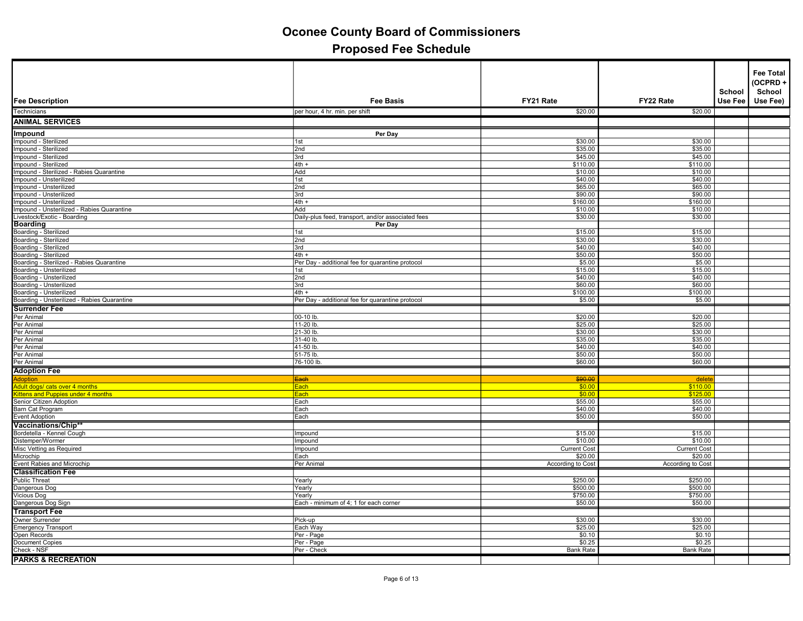|                                                                      |                                                             |                          |                     | School  | <b>Fee Total</b><br>(OCPRD+<br>School |
|----------------------------------------------------------------------|-------------------------------------------------------------|--------------------------|---------------------|---------|---------------------------------------|
| <b>Fee Description</b>                                               | <b>Fee Basis</b>                                            | FY21 Rate                | FY22 Rate           | Use Fee | Use Fee)                              |
| Technicians                                                          | per hour, 4 hr. min. per shift                              | \$20.00                  | \$20.00             |         |                                       |
| <b>ANIMAL SERVICES</b>                                               |                                                             |                          |                     |         |                                       |
| Impound                                                              | Per Day                                                     |                          |                     |         |                                       |
| Impound - Sterilized                                                 | 1st                                                         | \$30.00                  | \$30.00             |         |                                       |
| Impound - Sterilized                                                 | 2nd                                                         | \$35.00                  | \$35.00             |         |                                       |
| Impound - Sterilized<br>Impound - Sterilized                         | 3rd<br>$4th +$                                              | \$45.00<br>\$110.00      | \$45.00<br>\$110.00 |         |                                       |
| Impound - Sterilized - Rabies Quarantine                             | Add                                                         | \$10.00                  | \$10.00             |         |                                       |
| Impound - Unsterilized                                               | 1st                                                         | \$40.00                  | \$40.00             |         |                                       |
| Impound - Unsterilized                                               | 2nd                                                         | \$65.00                  | \$65.00             |         |                                       |
| Impound - Unsterilized                                               | 3rd                                                         | \$90.00                  | \$90.00             |         |                                       |
| Impound - Unsterilized<br>Impound - Unsterilized - Rabies Quarantine | $4th +$<br>Add                                              | \$160.00<br>\$10.00      | \$160.00<br>\$10.00 |         |                                       |
| Livestock/Exotic - Boarding                                          | Daily-plus feed, transport, and/or associated fees          | \$30.00                  | \$30.00             |         |                                       |
| <b>Boarding</b>                                                      | Per Day                                                     |                          |                     |         |                                       |
| Boarding - Sterilized                                                | 1st                                                         | \$15.00                  | \$15.00             |         |                                       |
| Boarding - Sterilized                                                | 2nd                                                         | \$30.00                  | \$30.00             |         |                                       |
| Boarding - Sterilized                                                | 3rd                                                         | \$40.00                  | \$40.00             |         |                                       |
| Boarding - Sterilized<br>Boarding - Sterilized - Rabies Quarantine   | $4th +$<br>Per Day - additional fee for quarantine protocol | \$50.00<br>\$5.00        | \$50.00<br>\$5.00   |         |                                       |
| Boarding - Unsterilized                                              | 1st                                                         | \$15.00                  | \$15.00             |         |                                       |
| Boarding - Unsterilized                                              | 2nd                                                         | \$40.00                  | \$40.00             |         |                                       |
| Boarding - Unsterilized                                              | 3rd                                                         | \$60.00                  | \$60.00             |         |                                       |
| Boarding - Unsterilized                                              | 4th +                                                       | \$100.00                 | \$100.00            |         |                                       |
| Boarding - Unsterilized - Rabies Quarantine                          | Per Day - additional fee for quarantine protocol            | \$5.00                   | \$5.00              |         |                                       |
| <b>Surrender Fee</b><br>Per Animal                                   | 00-10 lb.                                                   | \$20.00                  | \$20.00             |         |                                       |
| Per Animal                                                           | 11-20 lb.                                                   | \$25.00                  | \$25.00             |         |                                       |
| Per Animal                                                           | 21-30 lb.                                                   | \$30.00                  | \$30.00             |         |                                       |
| Per Animal                                                           | 31-40 lb                                                    | \$35.00                  | \$35.00             |         |                                       |
| Per Animal                                                           | 41-50 lb                                                    | \$40.00                  | \$40.00             |         |                                       |
| Per Animal                                                           | 51-75 lb.                                                   | \$50.00                  | \$50.00             |         |                                       |
| Per Animal                                                           | 76-100 lb.                                                  | \$60.00                  | \$60.00             |         |                                       |
| <b>Adoption Fee</b>                                                  |                                                             | \$90.00                  |                     |         |                                       |
| <b>Adoption</b><br>Adult dogs/ cats over 4 months                    | <del>Each</del><br><u>Each</u>                              | \$0.00                   | delete<br>\$110.00  |         |                                       |
| Kittens and Puppies under 4 months                                   | Each                                                        | \$0.00                   | \$125.00            |         |                                       |
| Senior Citizen Adoption                                              | Each                                                        | \$55.00                  | \$55.00             |         |                                       |
| Barn Cat Program                                                     | Each                                                        | \$40.00                  | \$40.00             |         |                                       |
| Event Adoption                                                       | Each                                                        | \$50.00                  | \$50.00             |         |                                       |
| Vaccinations/Chip**                                                  |                                                             |                          |                     |         |                                       |
| Bordetella - Kennel Cough<br>Distemper/Wormer                        | Impound<br>Impound                                          | \$15.00<br>\$10.00       | \$15.00<br>\$10.00  |         |                                       |
| Misc Vetting as Required                                             | Impound                                                     | <b>Current Cost</b>      | <b>Current Cost</b> |         |                                       |
| Microchip                                                            | Each                                                        | \$20.00                  | \$20.00             |         |                                       |
| Event Rabies and Microchip                                           | Per Animal                                                  | <b>According to Cost</b> | According to Cost   |         |                                       |
| <b>Classification Fee</b>                                            |                                                             |                          |                     |         |                                       |
| Public Threat                                                        | Yearly                                                      | \$250.00                 | \$250.00            |         |                                       |
| Dangerous Dog                                                        | Yearly                                                      | \$500.00                 | \$500.00            |         |                                       |
| Vicious Dog<br>Dangerous Dog Sign                                    | Yearly<br>Each - minimum of 4; 1 for each corner            | \$750.00<br>\$50.00      | \$750.00<br>\$50.00 |         |                                       |
| <b>Transport Fee</b>                                                 |                                                             |                          |                     |         |                                       |
| <b>Owner Surrender</b>                                               | Pick-up                                                     | \$30.00                  | \$30.00             |         |                                       |
| <b>Emergency Transport</b>                                           | Each Way                                                    | \$25.00                  | \$25.00             |         |                                       |
| Open Records                                                         | Per - Page                                                  | \$0.10                   | \$0.10              |         |                                       |
| Document Copies                                                      | Per - Page                                                  | \$0.25                   | \$0.25              |         |                                       |
| Check - NSF                                                          | Per - Check                                                 | <b>Bank Rate</b>         | <b>Bank Rate</b>    |         |                                       |
| <b>PARKS &amp; RECREATION</b>                                        |                                                             |                          |                     |         |                                       |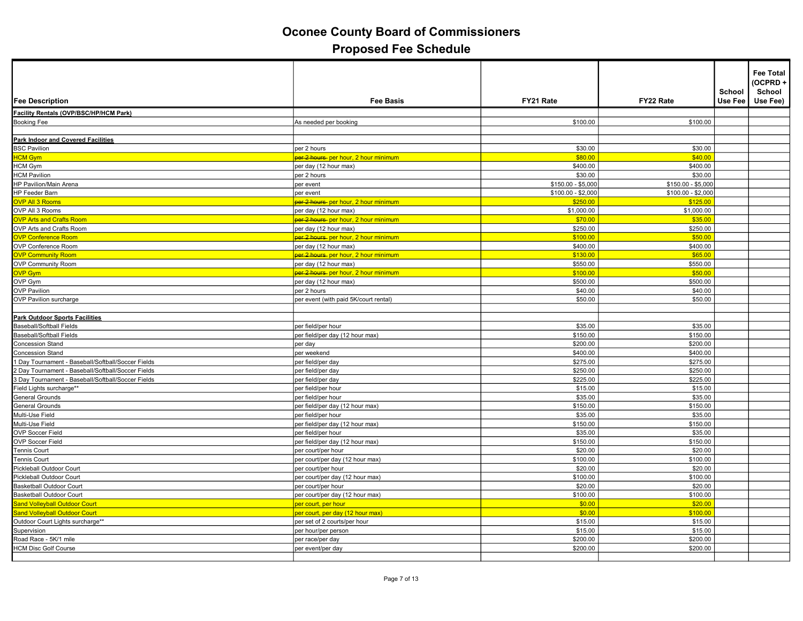| <b>Fee Description</b>                             | <b>Fee Basis</b>                                 | FY21 Rate          | FY22 Rate          | School<br>Use Fee | <b>Fee Total</b><br>(OCPRD+<br>School<br>Use Fee) |
|----------------------------------------------------|--------------------------------------------------|--------------------|--------------------|-------------------|---------------------------------------------------|
| Facility Rentals (OVP/BSC/HP/HCM Park)             |                                                  |                    |                    |                   |                                                   |
| <b>Booking Fee</b>                                 | As needed per booking                            | \$100.00           | \$100.00           |                   |                                                   |
|                                                    |                                                  |                    |                    |                   |                                                   |
| Park Indoor and Covered Facilities                 |                                                  |                    |                    |                   |                                                   |
| <b>BSC Pavilion</b>                                | per 2 hours                                      | \$30.00            | \$30.00            |                   |                                                   |
| <b>HCM Gym</b>                                     | <del>per 2 hours-</del> per hour, 2 hour minimum | \$80.00            | \$40.00            |                   |                                                   |
| HCM Gym                                            | per day (12 hour max)                            | \$400.00           | \$400.00           |                   |                                                   |
| <b>HCM Pavilion</b>                                | per 2 hours                                      | \$30.00            | \$30.00            |                   |                                                   |
| HP Pavilion/Main Arena                             | per event                                        | $$150.00 - $5,000$ | $$150.00 - $5,000$ |                   |                                                   |
| HP Feeder Barn                                     | per event                                        | \$100.00 - \$2,000 | $$100.00 - $2,000$ |                   |                                                   |
| <b>OVP All 3 Rooms</b>                             | <del>per 2 hours-</del> per hour, 2 hour minimum | \$250.00           | \$125.00           |                   |                                                   |
| OVP All 3 Rooms                                    | per day (12 hour max)                            | \$1,000.00         | \$1,000.00         |                   |                                                   |
| <b>OVP Arts and Crafts Room</b>                    | per 2 hours per hour, 2 hour minimum             | \$70.00            | \$35.00            |                   |                                                   |
| OVP Arts and Crafts Room                           | per day (12 hour max)                            | \$250.00           | \$250.00           |                   |                                                   |
| <b>OVP Conference Room</b>                         | per 2 hours per hour, 2 hour minimum             | \$100.00           | \$50.00            |                   |                                                   |
| OVP Conference Room                                | per day (12 hour max)                            | \$400.00           | \$400.00           |                   |                                                   |
| <b>OVP Community Room</b>                          | <del>per 2 hours-</del> per hour, 2 hour minimum | \$130.00           | \$65.00            |                   |                                                   |
| <b>OVP Community Room</b>                          | per day (12 hour max)                            | \$550.00           | \$550.00           |                   |                                                   |
| <b>OVP Gym</b>                                     | <del>per 2 hours-</del> per hour, 2 hour minimum | \$100.00           | \$50.00            |                   |                                                   |
| OVP Gym                                            | per day (12 hour max)                            | \$500.00           | \$500.00           |                   |                                                   |
| <b>OVP Pavilion</b>                                | per 2 hours                                      | \$40.00            | \$40.00            |                   |                                                   |
| OVP Pavilion surcharge                             | per event (with paid 5K/court rental)            | \$50.00            | \$50.00            |                   |                                                   |
|                                                    |                                                  |                    |                    |                   |                                                   |
| <b>Park Outdoor Sports Facilities</b>              |                                                  |                    |                    |                   |                                                   |
| <b>Baseball/Softball Fields</b>                    | per field/per hour                               | \$35.00            | \$35.00            |                   |                                                   |
| Baseball/Softball Fields                           | per field/per day (12 hour max)                  | \$150.00           | \$150.00           |                   |                                                   |
| <b>Concession Stand</b>                            | per day                                          | \$200.00           | \$200.00           |                   |                                                   |
| <b>Concession Stand</b>                            | per weekend                                      | \$400.00           | \$400.00           |                   |                                                   |
| 1 Day Tournament - Baseball/Softball/Soccer Fields | ber field/per day                                | \$275.00           | \$275.00           |                   |                                                   |
| 2 Day Tournament - Baseball/Softball/Soccer Fields | per field/per day                                | \$250.00           | \$250.00           |                   |                                                   |
| 3 Day Tournament - Baseball/Softball/Soccer Fields | per field/per day                                | \$225.00           | \$225.00           |                   |                                                   |
| Field Lights surcharge**                           | per field/per hour                               | \$15.00            | \$15.00            |                   |                                                   |
| <b>General Grounds</b>                             | per field/per hour                               | \$35.00            | \$35.00            |                   |                                                   |
| General Grounds                                    | per field/per day (12 hour max)                  | \$150.00           | \$150.00           |                   |                                                   |
| Multi-Use Field                                    | per field/per hour                               | \$35.00            | \$35.00            |                   |                                                   |
| Multi-Use Field                                    | per field/per day (12 hour max)                  | \$150.00           | \$150.00           |                   |                                                   |
| <b>OVP Soccer Field</b>                            | per field/per hour                               | \$35.00            | \$35.00            |                   |                                                   |
| <b>OVP Soccer Field</b>                            | per field/per day (12 hour max)                  | \$150.00           | \$150.00           |                   |                                                   |
| <b>Tennis Court</b>                                | per court/per hour                               | \$20.00            | \$20.00            |                   |                                                   |
| Tennis Court                                       | per court/per day (12 hour max)                  | \$100.00           | \$100.00           |                   |                                                   |
| Pickleball Outdoor Court                           | per court/per hour                               | \$20.00            | \$20.00            |                   |                                                   |
| Pickleball Outdoor Court                           | per court/per day (12 hour max)                  | \$100.00           | \$100.00           |                   |                                                   |
| Basketball Outdoor Court                           | per court/per hour                               | \$20.00            | \$20.00            |                   |                                                   |
| <b>Basketball Outdoor Court</b>                    | per court/per day (12 hour max)                  | \$100.00           | \$100.00           |                   |                                                   |
| <b>Sand Volleyball Outdoor Court</b>               | per court, per hour                              | \$0.00             | \$20.00            |                   |                                                   |
| <b>Sand Volleyball Outdoor Court</b>               | per court, per day (12 hour max)                 | \$0.00             | \$100.00           |                   |                                                   |
| Outdoor Court Lights surcharge**                   | per set of 2 courts/per hour                     | \$15.00            | \$15.00            |                   |                                                   |
| Supervision                                        | per hour/per person                              | \$15.00            | \$15.00            |                   |                                                   |
| Road Race - 5K/1 mile                              | per race/per day                                 | \$200.00           | \$200.00           |                   |                                                   |
| <b>HCM Disc Golf Course</b>                        | per event/per day                                | \$200.00           | \$200.00           |                   |                                                   |
|                                                    |                                                  |                    |                    |                   |                                                   |
|                                                    |                                                  |                    |                    |                   |                                                   |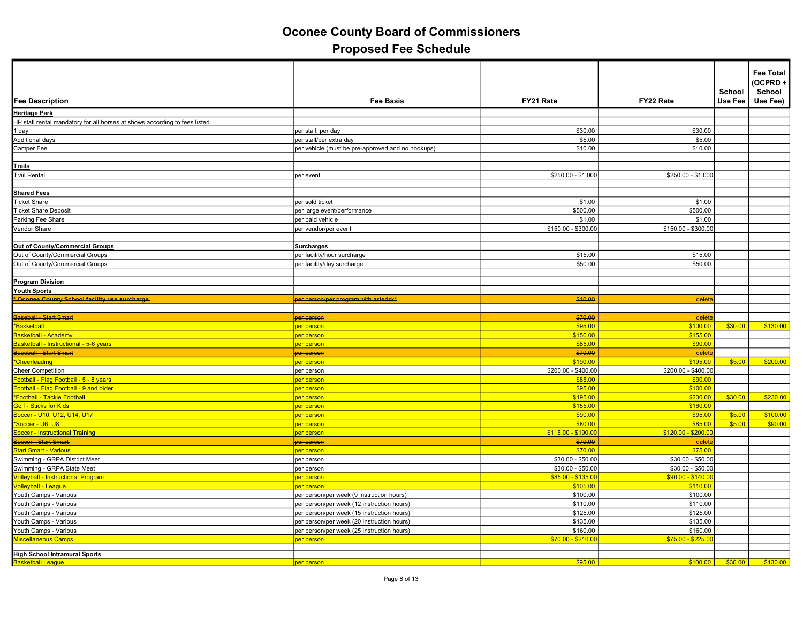| <b>Fee Description</b>                                                      | <b>Fee Basis</b>                                  | FY21 Rate           | FY22 Rate           | School<br>Use Fee | <b>Fee Total</b><br>(OCPRD+<br>School<br>Use Fee) |
|-----------------------------------------------------------------------------|---------------------------------------------------|---------------------|---------------------|-------------------|---------------------------------------------------|
| <b>Heritage Park</b>                                                        |                                                   |                     |                     |                   |                                                   |
| HP stall rental mandatory for all horses at shows according to fees listed. |                                                   |                     |                     |                   |                                                   |
| 1 day                                                                       | per stall, per day                                | \$30.00             | \$30.00             |                   |                                                   |
| Additional days                                                             | per stall/per extra day                           | \$5.00              | \$5.00              |                   |                                                   |
| Camper Fee                                                                  | per vehicle (must be pre-approved and no hookups) | \$10.00             | \$10.00             |                   |                                                   |
|                                                                             |                                                   |                     |                     |                   |                                                   |
| <b>Trails</b>                                                               |                                                   |                     |                     |                   |                                                   |
| <b>Trail Rental</b>                                                         | per event                                         | \$250.00 - \$1,000  | \$250.00 - \$1,000  |                   |                                                   |
|                                                                             |                                                   |                     |                     |                   |                                                   |
| <b>Shared Fees</b>                                                          |                                                   |                     |                     |                   |                                                   |
| <b>Ticket Share</b>                                                         | per sold ticket                                   | \$1.00              | \$1.00              |                   |                                                   |
| <b>Ticket Share Deposit</b>                                                 | per large event/performance                       | \$500.00            | \$500.00            |                   |                                                   |
| Parking Fee Share                                                           | per paid vehicle                                  | \$1.00              | \$1.00              |                   |                                                   |
| Vendor Share                                                                | per vendor/per event                              | \$150.00 - \$300.00 | \$150.00 - \$300.00 |                   |                                                   |
|                                                                             |                                                   |                     |                     |                   |                                                   |
| Out of County/Commercial Groups                                             | <b>Surcharges</b>                                 |                     |                     |                   |                                                   |
| Out of County/Commercial Groups                                             | per facility/hour surcharge                       | \$15.00             | \$15.00             |                   |                                                   |
| Out of County/Commercial Groups                                             | per facility/day surcharge                        | \$50.00             | \$50.00             |                   |                                                   |
|                                                                             |                                                   |                     |                     |                   |                                                   |
| <b>Program Division</b>                                                     |                                                   |                     |                     |                   |                                                   |
| Youth Sports                                                                |                                                   |                     |                     |                   |                                                   |
| * Oconee County School facility use surcharge                               | <u>per person/per program with asterisk*</u>      | \$10.00             | delet               |                   |                                                   |
|                                                                             |                                                   |                     |                     |                   |                                                   |
| <b>Baseball - Start Smart</b>                                               | <b>per person</b>                                 | \$70.00             | delet               |                   |                                                   |
| *Basketball                                                                 | <mark>per person</mark>                           | \$95.00             | \$100.00            | \$30.00           | \$130.00                                          |
| <b>Basketball - Academy</b>                                                 | <mark>per person</mark>                           | \$150.00            | \$155.00            |                   |                                                   |
| Basketball - Instructional - 5-6 years                                      | per person                                        | \$85.00             | \$90.00             |                   |                                                   |
| Baseball - Start Smart                                                      | per person                                        | \$70.00             | delete              |                   |                                                   |
| *Cheerleading                                                               | <mark>per person</mark>                           | \$190.00            | \$195.00            | \$5.00            | \$200.00                                          |
| <b>Cheer Competition</b>                                                    | per person                                        | \$200.00 - \$400.00 | \$200.00 - \$400.00 |                   |                                                   |
| Football - Flag Football - 5 - 8 years                                      | <mark>per person</mark>                           | \$85.00             | \$90.00             |                   |                                                   |
| Football - Flag Football - 9 and older                                      | <mark>per person</mark>                           | \$95.00             | \$100.00            |                   |                                                   |
| *Football - Tackle Football                                                 | <mark>per person</mark>                           | \$195.00            | \$200.00            | \$30.00           | \$230.00                                          |
| <b>Golf - Sticks for Kids</b>                                               | <mark>per person</mark>                           | \$155.00            | \$160.00            |                   |                                                   |
| Soccer - U10, U12, U14, U17                                                 | <mark>per person</mark>                           | \$90.00             | \$95.00             | \$5.00            | \$100.00                                          |
| *Soccer - U6, U8                                                            | per person                                        | \$80.00             | \$85.00             | \$5.00            | \$90.00                                           |
| <b>Soccer - Instructional Training</b>                                      | per person                                        | $$115.00 - $190.0$  | $$120.00 - $200.00$ |                   |                                                   |
| Soccer - Start Smart                                                        | <del>per person</del>                             | \$70.00             | delete              |                   |                                                   |
| <b>Start Smart - Various</b>                                                | <mark>per person</mark>                           | \$70.00             | \$75.00             |                   |                                                   |
| Swimming - GRPA District Meet                                               | per person                                        | $$30.00 - $50.00$   | $$30.00 - $50.00$   |                   |                                                   |
| Swimming - GRPA State Meet                                                  | per person                                        | $$30.00 - $50.00$   | $$30.00 - $50.00$   |                   |                                                   |
| <b>Volleyball - Instructional Program</b>                                   | <mark>per person</mark>                           | \$85.00 - \$135.00  | $$90.00 - $140.00$  |                   |                                                   |
| <b>Volleyball - League</b>                                                  | per person                                        | \$105.00            | \$110.00            |                   |                                                   |
| Youth Camps - Various                                                       | per person/per week (9 instruction hours)         | \$100.00            | \$100.00            |                   |                                                   |
| Youth Camps - Various                                                       | per person/per week (12 instruction hours)        | \$110.00            | \$110.00            |                   |                                                   |
| Youth Camps - Various                                                       | per person/per week (15 instruction hours)        | \$125.00            | \$125.00            |                   |                                                   |
| Youth Camps - Various                                                       | per person/per week (20 instruction hours)        | \$135.00            | \$135.00            |                   |                                                   |
| Youth Camps - Various                                                       | per person/per week (25 instruction hours)        | \$160.00            | \$160.00            |                   |                                                   |
| <b>Miscellaneous Camps</b>                                                  | per person                                        | \$70.00 - \$210.00  | $$75.00 - $225.00$  |                   |                                                   |
|                                                                             |                                                   |                     |                     |                   |                                                   |
| <b>High School Intramural Sports</b><br><b>Basketball League</b>            | per person                                        | \$95.00             | \$100.00            | \$30.00           | \$130.00                                          |
|                                                                             |                                                   |                     |                     |                   |                                                   |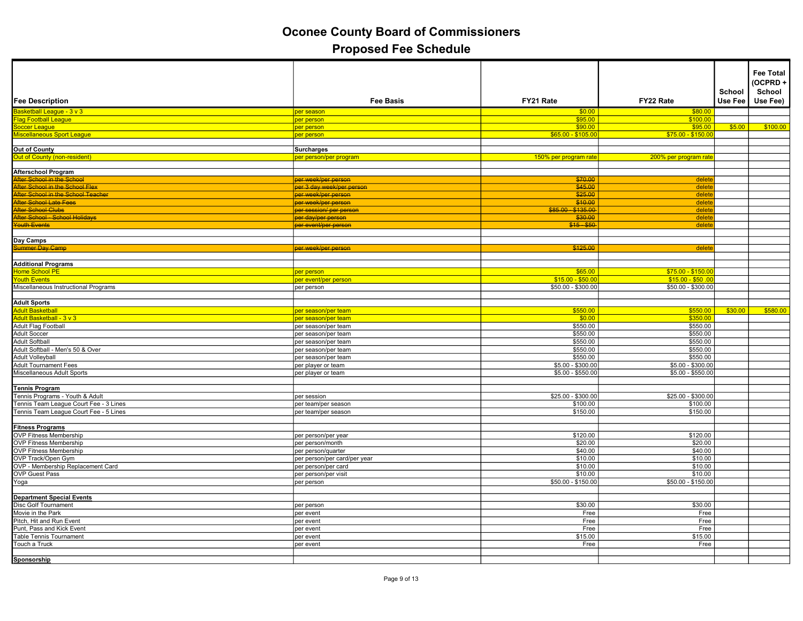|                                                                                                                    |                                                  |                      |                                        |         | <b>Fee Total</b><br>(OCPRD+ |
|--------------------------------------------------------------------------------------------------------------------|--------------------------------------------------|----------------------|----------------------------------------|---------|-----------------------------|
|                                                                                                                    |                                                  |                      |                                        | School  | School                      |
| <b>Fee Description</b>                                                                                             | <b>Fee Basis</b>                                 | FY21 Rate            | FY22 Rate                              | Use Fee | Use Fee)                    |
| Basketball League - 3 v 3<br><u>Flag Football League</u>                                                           | per season                                       | \$0.00               | \$80.00                                |         |                             |
|                                                                                                                    | per person                                       | \$95.00              | \$100.00                               |         |                             |
|                                                                                                                    | per person                                       | \$90.00              | \$95.00                                | \$5.00  | \$100.00                    |
| Soccer League<br>Miscellaneous Sport League                                                                        | per person                                       | $$65.00 - $105.00$   | $$75.00 - $150.00$                     |         |                             |
|                                                                                                                    |                                                  |                      |                                        |         |                             |
| Out of County                                                                                                      | <b>Surcharges</b>                                |                      |                                        |         |                             |
| Out of County (non-resident)                                                                                       | <mark>per person/per program</mark>              | 150% per program rat | 200% per program rate                  |         |                             |
|                                                                                                                    |                                                  |                      |                                        |         |                             |
| Afterschool Program                                                                                                |                                                  |                      |                                        |         |                             |
| After School in the School<br>After School in the School Flex                                                      | <del>per week/per person</del>                   | \$70.00              | delet                                  |         |                             |
|                                                                                                                    | per 3 day week/per person<br>per week/per person | \$45.00<br>\$25.00   | delete<br>delete                       |         |                             |
| Alter School in the School Field<br>After School Late Fees<br>After School Clubs<br>After School - School Holidays | per week/per person                              | \$10.00              | delet                                  |         |                             |
|                                                                                                                    | per session/ per person                          | \$85.00 - \$135.00   | delete                                 |         |                             |
|                                                                                                                    | per day/per person                               | \$30.00              | delet                                  |         |                             |
| Youth Events                                                                                                       | per event/per person                             | $$15 - $50$          | delet                                  |         |                             |
|                                                                                                                    |                                                  |                      |                                        |         |                             |
| Day Camps                                                                                                          |                                                  |                      |                                        |         |                             |
| Summer Day Camp                                                                                                    | per week/per person                              | \$125.00             | delet                                  |         |                             |
|                                                                                                                    |                                                  |                      |                                        |         |                             |
| <b>Additional Programs</b><br>Home School PE                                                                       |                                                  |                      |                                        |         |                             |
|                                                                                                                    | per person                                       | \$65.00              | $$75.00 - $150.0$                      |         |                             |
| Youth Events                                                                                                       | per event/per person                             | $$15.00 - $50.0$     | $$15.00 - $50.00$                      |         |                             |
| Miscellaneous Instructional Programs                                                                               | per person                                       | $$50.00 - $300.00$   | $$50.00 - $300.00$                     |         |                             |
|                                                                                                                    |                                                  |                      |                                        |         |                             |
| <b>Adult Sports</b>                                                                                                |                                                  |                      |                                        |         |                             |
| Adult Basketball<br>Adult Basketball - 3 v 3                                                                       | per season/per team                              | \$550.00             | \$550.00                               | \$30.00 | \$580.00                    |
|                                                                                                                    | per season/per team                              | \$0.00               | \$350.00                               |         |                             |
| Adult Flag Football                                                                                                | per season/per team                              | \$550.00             | \$550.00                               |         |                             |
| <b>Adult Soccer</b>                                                                                                | per season/per team                              | \$550.00             | \$550.00                               |         |                             |
| <b>Adult Softball</b>                                                                                              | per season/per team                              | \$550.00             | \$550.00                               |         |                             |
| Adult Softball - Men's 50 & Over                                                                                   | per season/per team                              | \$550.00             | \$550.00                               |         |                             |
| <b>Adult Volleyball</b>                                                                                            | per season/per team                              | \$550.00             | \$550.00                               |         |                             |
| <b>Adult Tournament Fees</b>                                                                                       | per player or team                               | $$5.00 - $300.00$    | \$5.00 - \$300.00<br>$$5.00 - $550.00$ |         |                             |
| Miscellaneous Adult Sports                                                                                         | per player or team                               | $$5.00 - $550.00$    |                                        |         |                             |
| <b>Tennis Program</b>                                                                                              |                                                  |                      |                                        |         |                             |
| Tennis Programs - Youth & Adult                                                                                    | per session                                      | $$25.00 - $300.00$   | $$25.00 - $300.00$                     |         |                             |
| Tennis Team League Court Fee - 3 Lines                                                                             | per team/per season                              | \$100.00             | \$100.00                               |         |                             |
| Tennis Team League Court Fee - 5 Lines                                                                             | per team/per season                              | \$150.00             | \$150.00                               |         |                             |
|                                                                                                                    |                                                  |                      |                                        |         |                             |
| <b>Fitness Programs</b><br>OVP Fitness Membership<br>OVP Fitness Membership<br>OVP Fitness Membership              |                                                  |                      |                                        |         |                             |
|                                                                                                                    | per person/per year                              | \$120.00             | \$120.00                               |         |                             |
|                                                                                                                    | per person/month                                 | \$20.00              | \$20.00                                |         |                             |
|                                                                                                                    | per person/quarter                               | \$40.00              | \$40.00                                |         |                             |
| OVP Track/Open Gym<br>OVP - Membership Replacement Card                                                            | per person/per card/per year                     | \$10.00              | \$10.00                                |         |                             |
|                                                                                                                    | per person/per card                              | \$10.00              | \$10.00                                |         |                             |
| <b>OVP Guest Pass</b>                                                                                              | per person/per visit                             | \$10.00              | \$10.00                                |         |                             |
| Yoga                                                                                                               | per person                                       | $$50.00 - $150.00$   | $$50.00 - $150.00$                     |         |                             |
|                                                                                                                    |                                                  |                      |                                        |         |                             |
| Department Special Events<br>Disc Golf Tournament<br>Movie in the Park                                             |                                                  |                      |                                        |         |                             |
|                                                                                                                    | per person                                       | \$30.00              | \$30.00                                |         |                             |
|                                                                                                                    | per event                                        | Free                 | Free                                   |         |                             |
| Pitch, Hit and Run Event                                                                                           | per event                                        | Free                 | Free                                   |         |                             |
| Punt, Pass and Kick Event                                                                                          | per event                                        | Free                 | Free                                   |         |                             |
| <b>Table Tennis Tournament</b>                                                                                     | per event                                        | \$15.00              | \$15.00                                |         |                             |
| Touch a Truck                                                                                                      | per event                                        | Free                 | Free                                   |         |                             |
|                                                                                                                    |                                                  |                      |                                        |         |                             |
| Sponsorship                                                                                                        |                                                  |                      |                                        |         |                             |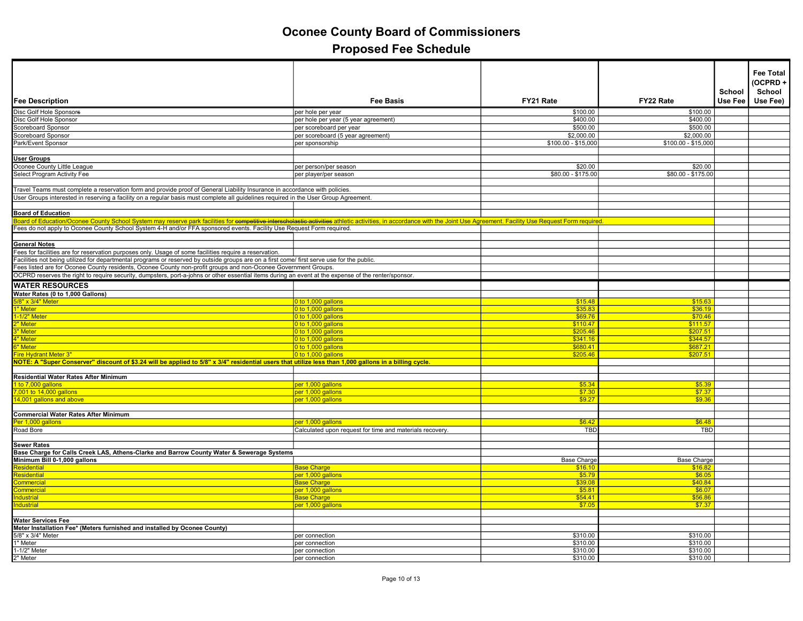| <b>Fee Description</b>                                                                                                                                                                                                     | <b>Fee Basis</b>                                         | FY21 Rate           | FY22 Rate           | School<br>Use Fee | <b>Fee Total</b><br>(OCPRD+<br>School<br>Use Fee) |
|----------------------------------------------------------------------------------------------------------------------------------------------------------------------------------------------------------------------------|----------------------------------------------------------|---------------------|---------------------|-------------------|---------------------------------------------------|
| Disc Golf Hole Sponsors                                                                                                                                                                                                    | per hole per year                                        | \$100.00            | \$100.00            |                   |                                                   |
| Disc Golf Hole Sponsor                                                                                                                                                                                                     | per hole per year (5 year agreement)                     | \$400.00            | \$400.00            |                   |                                                   |
| Scoreboard Sponsor                                                                                                                                                                                                         | per scoreboard per year                                  | \$500.00            | \$500.00            |                   |                                                   |
| Scoreboard Sponsor                                                                                                                                                                                                         | per scoreboard (5 year agreement)                        | \$2,000.00          | \$2,000.00          |                   |                                                   |
| Park/Event Sponsor                                                                                                                                                                                                         | per sponsorship                                          | $$100.00 - $15,000$ | $$100.00 - $15,000$ |                   |                                                   |
|                                                                                                                                                                                                                            |                                                          |                     |                     |                   |                                                   |
| <b>User Groups</b>                                                                                                                                                                                                         |                                                          |                     |                     |                   |                                                   |
| Oconee County Little League                                                                                                                                                                                                | per person/per season                                    | \$20.00             | \$20.00             |                   |                                                   |
| Select Program Activity Fee                                                                                                                                                                                                | per player/per season                                    | \$80.00 - \$175.00  | \$80.00 - \$175.00  |                   |                                                   |
|                                                                                                                                                                                                                            |                                                          |                     |                     |                   |                                                   |
| Travel Teams must complete a reservation form and provide proof of General Liability Insurance in accordance with policies.                                                                                                |                                                          |                     |                     |                   |                                                   |
| User Groups interested in reserving a facility on a regular basis must complete all guidelines required in the User Group Agreement.                                                                                       |                                                          |                     |                     |                   |                                                   |
|                                                                                                                                                                                                                            |                                                          |                     |                     |                   |                                                   |
| <b>Board of Education</b>                                                                                                                                                                                                  |                                                          |                     |                     |                   |                                                   |
| Board of Education/Oconee County School System may reserve park facilities for competitive interscholastic activities athletic activities, in accordance with the Joint Use Agreement. Facility Use Request Form required. |                                                          |                     |                     |                   |                                                   |
| Fees do not apply to Oconee County School System 4-H and/or FFA sponsored events. Facility Use Request Form required.                                                                                                      |                                                          |                     |                     |                   |                                                   |
|                                                                                                                                                                                                                            |                                                          |                     |                     |                   |                                                   |
| <b>General Notes</b>                                                                                                                                                                                                       |                                                          |                     |                     |                   |                                                   |
| Fees for facilities are for reservation purposes only. Usage of some facilities require a reservation.                                                                                                                     |                                                          |                     |                     |                   |                                                   |
| Facilities not being utilized for departmental programs or reserved by outside groups are on a first come/ first serve use for the public.                                                                                 |                                                          |                     |                     |                   |                                                   |
| Fees listed are for Oconee County residents, Oconee County non-profit groups and non-Oconee Government Groups.                                                                                                             |                                                          |                     |                     |                   |                                                   |
| OCPRD reserves the right to require security, dumpsters, port-a-johns or other essential items during an event at the expense of the renter/sponsor.                                                                       |                                                          |                     |                     |                   |                                                   |
| <b>WATER RESOURCES</b>                                                                                                                                                                                                     |                                                          |                     |                     |                   |                                                   |
| Water Rates (0 to 1,000 Gallons)                                                                                                                                                                                           |                                                          |                     |                     |                   |                                                   |
| <mark>/8" x 3/4" Meter</mark>                                                                                                                                                                                              | 0 to 1,000 gallons                                       | \$15.48             | \$15.63             |                   |                                                   |
| 1" Meter                                                                                                                                                                                                                   | 0 to 1,000 gallons                                       | \$35.83             | \$36.19             |                   |                                                   |
| 1-1/2" Meter                                                                                                                                                                                                               | 0 to 1,000 gallons                                       | \$69.76             | \$70.46             |                   |                                                   |
| 2" Meter                                                                                                                                                                                                                   | 0 to 1,000 gallons                                       | \$110.47            | \$111.57            |                   |                                                   |
| 3" Meter                                                                                                                                                                                                                   | 0 to 1,000 gallons                                       | \$205.46            | \$207.51            |                   |                                                   |
| 4" Meter                                                                                                                                                                                                                   | 0 to 1,000 gallons                                       | \$341.16            | \$344.57            |                   |                                                   |
| 6" Meter                                                                                                                                                                                                                   | 0 to 1,000 gallons                                       | \$680.41            | \$687.21            |                   |                                                   |
| Fire Hydrant Meter 3"                                                                                                                                                                                                      | 0 to 1,000 gallons                                       | \$205.46            | \$207.51            |                   |                                                   |
| NOTE: A "Super Conserver" discount of \$3.24 will be applied to 5/8" x 3/4" residential users that utilize less than 1,000 gallons in a billing cycle.                                                                     |                                                          |                     |                     |                   |                                                   |
|                                                                                                                                                                                                                            |                                                          |                     |                     |                   |                                                   |
| <b>Residential Water Rates After Minimum</b>                                                                                                                                                                               |                                                          |                     |                     |                   |                                                   |
| 1 to 7,000 gallons                                                                                                                                                                                                         | per 1,000 gallons                                        | \$5.34              | \$5.39              |                   |                                                   |
| 7,001 to 14,000 gallons                                                                                                                                                                                                    | per 1,000 gallons                                        | \$7.30              | \$7.37              |                   |                                                   |
| 14,001 gallons and above                                                                                                                                                                                                   | per 1,000 gallons                                        | \$9.27              | \$9.36              |                   |                                                   |
| <b>Commercial Water Rates After Minimum</b>                                                                                                                                                                                |                                                          |                     |                     |                   |                                                   |
| Per 1,000 gallons                                                                                                                                                                                                          | per 1,000 gallons                                        | \$6.42              | \$6.48              |                   |                                                   |
| Road Bore                                                                                                                                                                                                                  | Calculated upon request for time and materials recovery. | <b>TBD</b>          | <b>TBD</b>          |                   |                                                   |
|                                                                                                                                                                                                                            |                                                          |                     |                     |                   |                                                   |
| <b>Sewer Rates</b>                                                                                                                                                                                                         |                                                          |                     |                     |                   |                                                   |
| Base Charge for Calls Creek LAS, Athens-Clarke and Barrow County Water & Sewerage Systems                                                                                                                                  |                                                          |                     |                     |                   |                                                   |
| Minimum Bill 0-1,000 gallons                                                                                                                                                                                               |                                                          | Base Charge         | Base Charge         |                   |                                                   |
| Residential                                                                                                                                                                                                                | <b>Base Charge</b>                                       | \$16.10             | \$16.82             |                   |                                                   |
| Residential                                                                                                                                                                                                                | per 1,000 gallons                                        | \$5.79              | \$6.05              |                   |                                                   |
| Commercial                                                                                                                                                                                                                 | <b>Base Charge</b>                                       | \$39.08             | \$40.84             |                   |                                                   |
| <mark>ommercial</mark>                                                                                                                                                                                                     | per 1,000 gallons                                        | \$5.8'              | \$6.07              |                   |                                                   |
| Industrial                                                                                                                                                                                                                 | <b>Base Charge</b>                                       | \$54.41             | \$56.86             |                   |                                                   |
| <b>Industrial</b>                                                                                                                                                                                                          | per 1,000 gallons                                        | \$7.05              | \$7.37              |                   |                                                   |
|                                                                                                                                                                                                                            |                                                          |                     |                     |                   |                                                   |
| <b>Water Services Fee</b>                                                                                                                                                                                                  |                                                          |                     |                     |                   |                                                   |
| Meter Installation Fee* (Meters furnished and installed by Oconee County)                                                                                                                                                  |                                                          |                     |                     |                   |                                                   |
| 5/8" x 3/4" Meter                                                                                                                                                                                                          | per connection                                           | \$310.00            | \$310.00            |                   |                                                   |
| 1" Meter                                                                                                                                                                                                                   | per connection                                           | \$310.00            | \$310.00            |                   |                                                   |
| 1-1/2" Meter                                                                                                                                                                                                               | per connection                                           | \$310.00            | \$310.00            |                   |                                                   |
| 2" Meter                                                                                                                                                                                                                   | per connection                                           | \$310.00            | \$310.00            |                   |                                                   |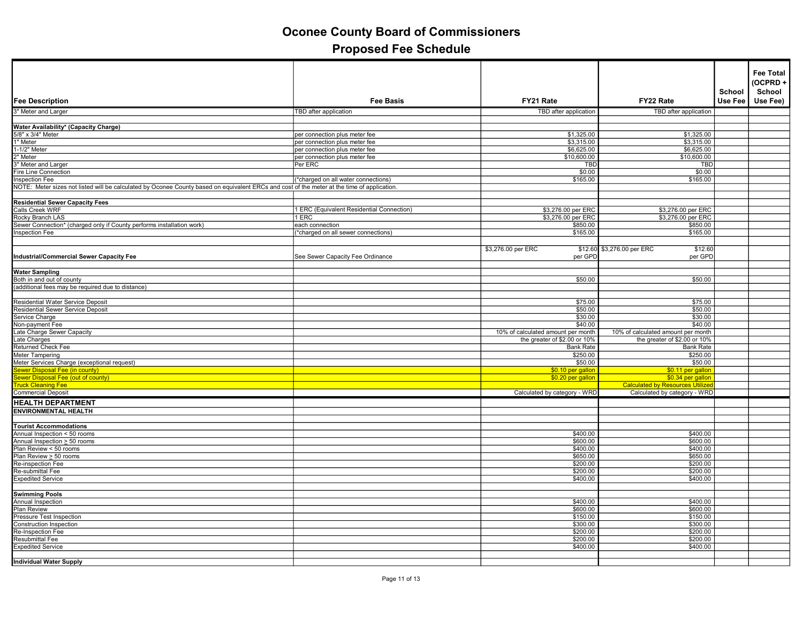| <b>Fee Description</b>                                                                                                                      | <b>Fee Basis</b>                         | FY21 Rate                          | FY22 Rate                                                    | School<br>Use Fee | <b>Fee Total</b><br>(OCPRD+<br>School<br>Use Fee) |
|---------------------------------------------------------------------------------------------------------------------------------------------|------------------------------------------|------------------------------------|--------------------------------------------------------------|-------------------|---------------------------------------------------|
| 3" Meter and Larger                                                                                                                         | TBD after application                    | TBD after application              | TBD after application                                        |                   |                                                   |
|                                                                                                                                             |                                          |                                    |                                                              |                   |                                                   |
| Water Availability* (Capacity Charge)                                                                                                       |                                          |                                    |                                                              |                   |                                                   |
| 5/8" x 3/4" Meter                                                                                                                           | per connection plus meter fee            | \$1,325.00                         | \$1,325.00                                                   |                   |                                                   |
| 1" Meter                                                                                                                                    | per connection plus meter fee            | \$3,315.00                         | \$3,315.00                                                   |                   |                                                   |
| 1-1/2" Meter                                                                                                                                | per connection plus meter fee            | \$6,625.00                         | \$6,625.00                                                   |                   |                                                   |
| 2<br>" Meter<br>" Meter and Larger                                                                                                          | per connection plus meter fee<br>Per ERC | \$10,600.00<br>TBD                 | \$10,600.00<br>TBD                                           |                   |                                                   |
| <b>Fire Line Connection</b>                                                                                                                 |                                          | \$0.00                             | \$0.00                                                       |                   |                                                   |
| Inspection Fee                                                                                                                              | (*charged on all water connections)      | \$165.00                           | \$165.00                                                     |                   |                                                   |
| NOTE: Meter sizes not listed will be calculated by Oconee County based on equivalent ERCs and cost of the meter at the time of application. |                                          |                                    |                                                              |                   |                                                   |
|                                                                                                                                             |                                          |                                    |                                                              |                   |                                                   |
| <b>Residential Sewer Capacity Fees</b>                                                                                                      |                                          |                                    |                                                              |                   |                                                   |
| Calls Creek WRF                                                                                                                             | ERC (Equivalent Residential Connection)  | \$3,276.00 per ERC                 | \$3,276.00 per ERC                                           |                   |                                                   |
| Rocky Branch LAS<br>Sewer Connection* (charged only if County performs installation work)                                                   | 1 ERC<br>each connection                 | \$3,276.00 per ERC<br>\$850.00     | \$3,276.00 per ERC<br>\$850.00                               |                   |                                                   |
| <b>Inspection Fee</b>                                                                                                                       | (*charged on all sewer connections)      | \$165.00                           | \$165.00                                                     |                   |                                                   |
|                                                                                                                                             |                                          |                                    |                                                              |                   |                                                   |
|                                                                                                                                             |                                          | \$3,276.00 per ERC<br>\$12.60      | \$3,276.00 per ERC<br>\$12.60                                |                   |                                                   |
| <b>Industrial/Commercial Sewer Capacity Fee</b>                                                                                             | See Sewer Capacity Fee Ordinance         | per GPD                            | per GPD                                                      |                   |                                                   |
|                                                                                                                                             |                                          |                                    |                                                              |                   |                                                   |
| <b>Water Sampling</b>                                                                                                                       |                                          |                                    |                                                              |                   |                                                   |
| Both in and out of county                                                                                                                   |                                          | \$50.00                            | \$50.00                                                      |                   |                                                   |
| (additional fees may be required due to distance)                                                                                           |                                          |                                    |                                                              |                   |                                                   |
|                                                                                                                                             |                                          |                                    |                                                              |                   |                                                   |
| Residential Water Service Deposit<br>Residential Sewer Service Deposit                                                                      |                                          | \$75.00<br>\$50.00                 | \$75.00<br>\$50.00                                           |                   |                                                   |
| Service Charge                                                                                                                              |                                          | \$30.00                            | \$30.00                                                      |                   |                                                   |
| Non-payment Fee                                                                                                                             |                                          | \$40.00                            | \$40.00                                                      |                   |                                                   |
| Late Charge Sewer Capacity                                                                                                                  |                                          | 10% of calculated amount per month | 10% of calculated amount per month                           |                   |                                                   |
| Late Charges                                                                                                                                |                                          | the greater of \$2.00 or 10%       | the greater of \$2.00 or 10%                                 |                   |                                                   |
| Returned Check Fee                                                                                                                          |                                          | <b>Bank Rate</b>                   | <b>Bank Rate</b>                                             |                   |                                                   |
| <b>Meter Tampering</b>                                                                                                                      |                                          | \$250.00                           | \$250.00                                                     |                   |                                                   |
| Meter Services Charge (exceptional request)                                                                                                 |                                          | \$50.00                            | \$50.00                                                      |                   |                                                   |
| ewer Disposal Fee (in county)                                                                                                               |                                          | \$0.10 per gallon                  | \$0.11 per gallon                                            |                   |                                                   |
| ewer Disposal Fee (out of county)<br><b>ruck Cleaning Fee</b>                                                                               |                                          | \$0.20 per gallon                  | \$0.34 per gallon<br><b>Calculated by Resources Utilized</b> |                   |                                                   |
| <b>Commercial Deposit</b>                                                                                                                   |                                          | Calculated by category - WRD       | Calculated by category - WRD                                 |                   |                                                   |
| <b>HEALTH DEPARTMENT</b>                                                                                                                    |                                          |                                    |                                                              |                   |                                                   |
| <b>ENVIRONMENTAL HEALTH</b>                                                                                                                 |                                          |                                    |                                                              |                   |                                                   |
|                                                                                                                                             |                                          |                                    |                                                              |                   |                                                   |
| <b>Tourist Accommodations</b>                                                                                                               |                                          |                                    |                                                              |                   |                                                   |
|                                                                                                                                             |                                          | \$400.00                           | \$400.00                                                     |                   |                                                   |
| Annual Inspection < 50 rooms<br>Annual Inspection > 50 rooms<br>Plan Review < 50 rooms                                                      |                                          | \$600.00                           | \$600.00                                                     |                   |                                                   |
|                                                                                                                                             |                                          | \$400.00                           | \$400.00                                                     |                   |                                                   |
| Plan Review > 50 rooms                                                                                                                      |                                          | \$650.00                           | \$650.00                                                     |                   |                                                   |
| Re-inspection Fee                                                                                                                           |                                          | \$200.00<br>\$200.00               | \$200.00<br>\$200.00                                         |                   |                                                   |
| Re-submittal Fee<br><b>Expedited Service</b>                                                                                                |                                          | \$400.00                           | \$400.00                                                     |                   |                                                   |
|                                                                                                                                             |                                          |                                    |                                                              |                   |                                                   |
| <b>Swimming Pools</b>                                                                                                                       |                                          |                                    |                                                              |                   |                                                   |
| Annual Inspection                                                                                                                           |                                          | \$400.00                           | \$400.00                                                     |                   |                                                   |
| Plan Review                                                                                                                                 |                                          | \$600.00                           | \$600.00                                                     |                   |                                                   |
| Pressure Test Inspection                                                                                                                    |                                          | \$150.00                           | \$150.00                                                     |                   |                                                   |
| <b>Construction Inspection</b>                                                                                                              |                                          | \$300.00                           | \$300.00                                                     |                   |                                                   |
| Re-Inspection Fee                                                                                                                           |                                          | \$200.00                           | \$200.00                                                     |                   |                                                   |
| Resubmittal Fee                                                                                                                             |                                          | \$200.00<br>\$400.00               | \$200.00<br>\$400.00                                         |                   |                                                   |
| <b>Expedited Service</b>                                                                                                                    |                                          |                                    |                                                              |                   |                                                   |
| <b>Individual Water Supply</b>                                                                                                              |                                          |                                    |                                                              |                   |                                                   |
|                                                                                                                                             |                                          |                                    |                                                              |                   |                                                   |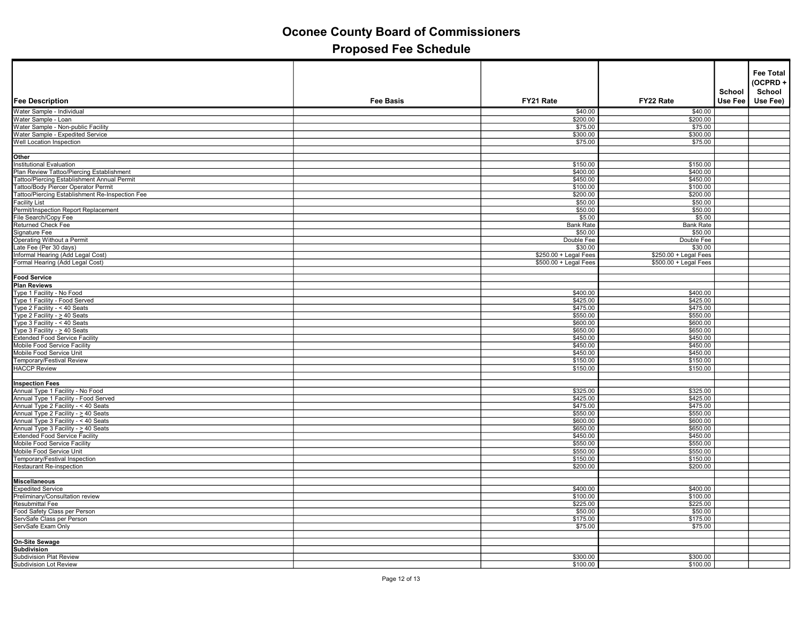|                                                                                                                                                                                                                                                     |                  |                        |                        |                   | <b>Fee Total</b><br>(OCPRD+ |
|-----------------------------------------------------------------------------------------------------------------------------------------------------------------------------------------------------------------------------------------------------|------------------|------------------------|------------------------|-------------------|-----------------------------|
| Fee Description                                                                                                                                                                                                                                     | <b>Fee Basis</b> | FY21 Rate              | FY22 Rate              | School<br>Use Fee | School<br>Use Fee)          |
| Water Sample - Individual                                                                                                                                                                                                                           |                  |                        |                        |                   |                             |
| Water Sample - Loan                                                                                                                                                                                                                                 |                  | \$40.00<br>\$200.00    | \$40.00<br>\$200.00    |                   |                             |
| Water Sample - Non-public Facility                                                                                                                                                                                                                  |                  | \$75.00                | \$75.00                |                   |                             |
| Water Sample - Expedited Service                                                                                                                                                                                                                    |                  | \$300.00               | \$300.00               |                   |                             |
| Well Location Inspection                                                                                                                                                                                                                            |                  | \$75.00                | \$75.00                |                   |                             |
|                                                                                                                                                                                                                                                     |                  |                        |                        |                   |                             |
| Other                                                                                                                                                                                                                                               |                  |                        |                        |                   |                             |
| Institutional Evaluation                                                                                                                                                                                                                            |                  | \$150.00               | \$150.00               |                   |                             |
| monutation Transaction<br>Taltoo/Piercing Establishment<br>Tattoo/Piercing Establishment Annual Permit<br>Tattoo/Body Piercer Operator Permit                                                                                                       |                  | \$400.00               | \$400.00               |                   |                             |
|                                                                                                                                                                                                                                                     |                  | \$450.00               | \$450.00               |                   |                             |
|                                                                                                                                                                                                                                                     |                  | \$100.00               | \$100.00               |                   |                             |
| Tattoo/Piercing Establishment Re-Inspection Fee                                                                                                                                                                                                     |                  | \$200.00               | \$200.00               |                   |                             |
| <b>Facility List</b>                                                                                                                                                                                                                                |                  | \$50.00                | \$50.00                |                   |                             |
| Permit/Inspection Report Replacement                                                                                                                                                                                                                |                  | \$50.00                | \$50.00                |                   |                             |
| File Search/Copy Fee                                                                                                                                                                                                                                |                  | \$5.00                 | \$5.00                 |                   |                             |
| Returned Check Fee                                                                                                                                                                                                                                  |                  | <b>Bank Rate</b>       | <b>Bank Rate</b>       |                   |                             |
| Signature Fee                                                                                                                                                                                                                                       |                  | \$50.00                | \$50.00                |                   |                             |
| Operating Without a Permit<br>Late Fee (Per 30 days)<br>Informal Hearing (Add Legal Cost)                                                                                                                                                           |                  | Double Fee             | Double Fee             |                   |                             |
|                                                                                                                                                                                                                                                     |                  | \$30.00                | \$30.00                |                   |                             |
|                                                                                                                                                                                                                                                     |                  | \$250.00 + Legal Fees  | $$250.00 + Legal Fees$ |                   |                             |
| Formal Hearing (Add Legal Cost)                                                                                                                                                                                                                     |                  | $$500.00 + Legal Fees$ | $$500.00 + Legal Fees$ |                   |                             |
|                                                                                                                                                                                                                                                     |                  |                        |                        |                   |                             |
| <b>Food Service</b>                                                                                                                                                                                                                                 |                  |                        |                        |                   |                             |
| <b>Plan Reviews</b>                                                                                                                                                                                                                                 |                  |                        |                        |                   |                             |
| Type 1 Facility - No Food                                                                                                                                                                                                                           |                  | \$400.00               | \$400.00               |                   |                             |
|                                                                                                                                                                                                                                                     |                  | \$425.00               | \$425.00               |                   |                             |
| Type Tracility - No Pool<br>Type Tracility - Food Served<br>Type 2 Facility - < 40 Seats<br>Type 2 Facility - < 40 Seats<br>Type 3 Facility - < 40 Seats<br>Extended Food Service Facility<br>Extended Food Service Facility<br>Mobile Food Service |                  | \$475.00               | \$475.00               |                   |                             |
|                                                                                                                                                                                                                                                     |                  | \$550.00               | \$550.00               |                   |                             |
|                                                                                                                                                                                                                                                     |                  | \$600.00               | \$600.00               |                   |                             |
|                                                                                                                                                                                                                                                     |                  | \$650.00               | \$650.00               |                   |                             |
|                                                                                                                                                                                                                                                     |                  | \$450.00               | \$450.00               |                   |                             |
|                                                                                                                                                                                                                                                     |                  | \$450.00               | \$450.00               |                   |                             |
| Mobile Food Service Unit                                                                                                                                                                                                                            |                  | \$450.00               | \$450.00               |                   |                             |
| Temporary/Festival Review                                                                                                                                                                                                                           |                  | \$150.00               | \$150.00               |                   |                             |
| <b>HACCP Review</b>                                                                                                                                                                                                                                 |                  | \$150.00               | \$150.00               |                   |                             |
|                                                                                                                                                                                                                                                     |                  |                        |                        |                   |                             |
| <b>Inspection Fees</b>                                                                                                                                                                                                                              |                  |                        |                        |                   |                             |
| Annual Type 1 Facility - No Food<br>Annual Type 1 Facility - Food Served<br>Annual Type 2 Facility - < 40 Seats                                                                                                                                     |                  | \$325.00               | \$325.00               |                   |                             |
|                                                                                                                                                                                                                                                     |                  | \$425.00               | \$425.00               |                   |                             |
|                                                                                                                                                                                                                                                     |                  | \$475.00               | \$475.00               |                   |                             |
| Annual Type 2 Facility - > 40 Seats<br>Annual Type 3 Facility - < 40 Seats                                                                                                                                                                          |                  | \$550.00<br>\$600.00   | \$550.00<br>\$600.00   |                   |                             |
| Annual Type 3 Facility - > 40 Seats                                                                                                                                                                                                                 |                  | \$650.00               | \$650.00               |                   |                             |
| Extended Food Service Facility                                                                                                                                                                                                                      |                  | \$450.00               | \$450.00               |                   |                             |
| Mobile Food Service Facility                                                                                                                                                                                                                        |                  | \$550.00               | \$550.00               |                   |                             |
|                                                                                                                                                                                                                                                     |                  | \$550.00               | \$550.00               |                   |                             |
| Mobile Food Service Unit<br>Temporary/Festival Inspection                                                                                                                                                                                           |                  | \$150.00               | \$150.00               |                   |                             |
| Restaurant Re-inspection                                                                                                                                                                                                                            |                  | \$200.00               | \$200.00               |                   |                             |
|                                                                                                                                                                                                                                                     |                  |                        |                        |                   |                             |
| <b>Miscellaneous</b>                                                                                                                                                                                                                                |                  |                        |                        |                   |                             |
|                                                                                                                                                                                                                                                     |                  | \$400.00               | \$400.00               |                   |                             |
| Expedited Service<br>Preliminary/Consultation review                                                                                                                                                                                                |                  | \$100.00               | \$100.00               |                   |                             |
| Resubmittal Fee                                                                                                                                                                                                                                     |                  | \$225.00               | \$225.00               |                   |                             |
| Food Safety Class per Person                                                                                                                                                                                                                        |                  | \$50.00                | \$50.00                |                   |                             |
|                                                                                                                                                                                                                                                     |                  | \$175.00               | \$175.00               |                   |                             |
| ServSafe Class per Person<br>ServSafe Exam Only                                                                                                                                                                                                     |                  | \$75.00                | \$75.00                |                   |                             |
|                                                                                                                                                                                                                                                     |                  |                        |                        |                   |                             |
| On-Site Sewage                                                                                                                                                                                                                                      |                  |                        |                        |                   |                             |
| Subdivision                                                                                                                                                                                                                                         |                  |                        |                        |                   |                             |
| Subdivision Plat Review                                                                                                                                                                                                                             |                  | \$300.00               | \$300.00               |                   |                             |
| Subdivision Lot Review                                                                                                                                                                                                                              |                  | \$100.00               | \$100.00               |                   |                             |
|                                                                                                                                                                                                                                                     |                  |                        |                        |                   |                             |